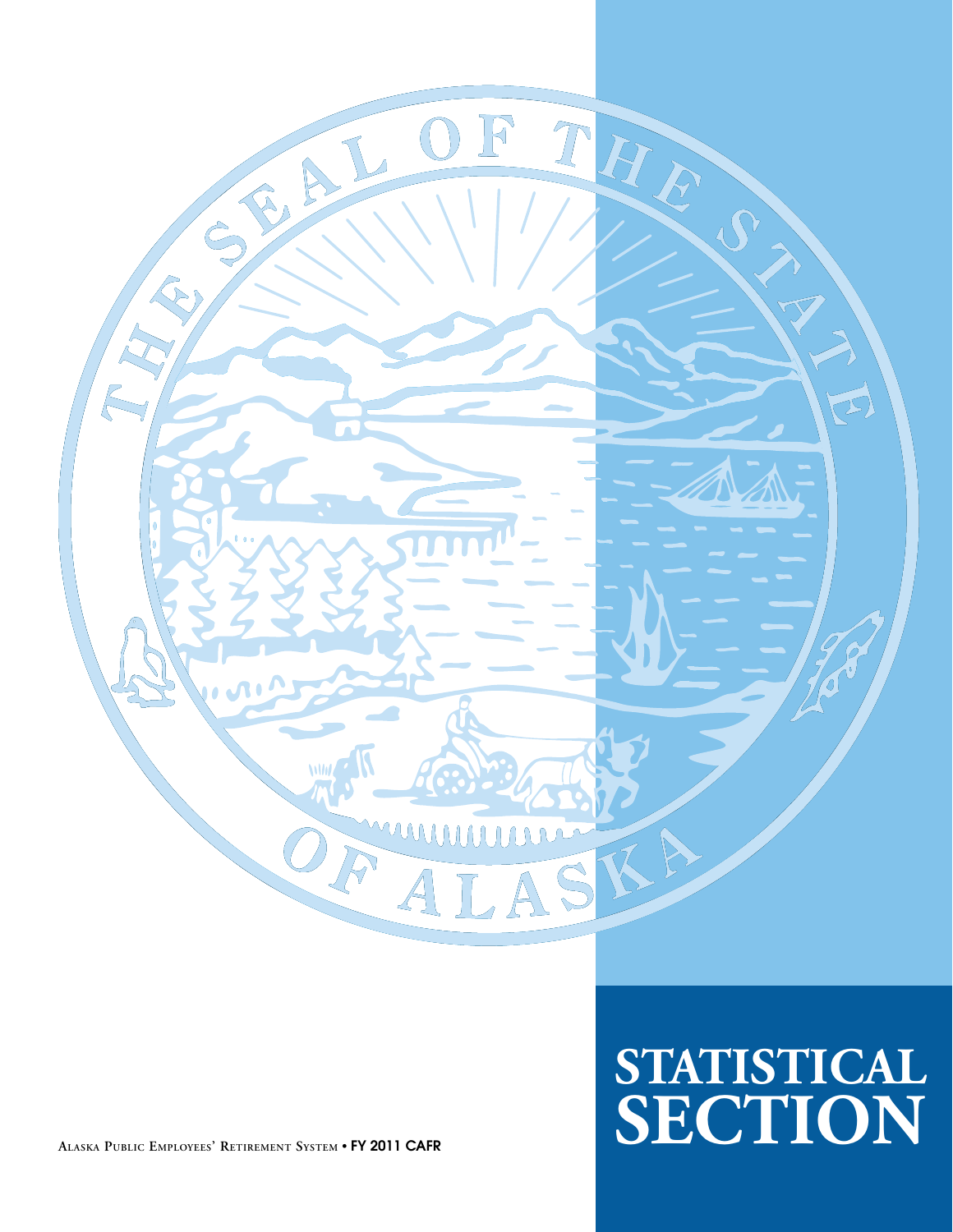

**ALASKA PUBLIC EMPLOYEES' RETIREMENT SYSTEM** • **FY 2011 CAFR**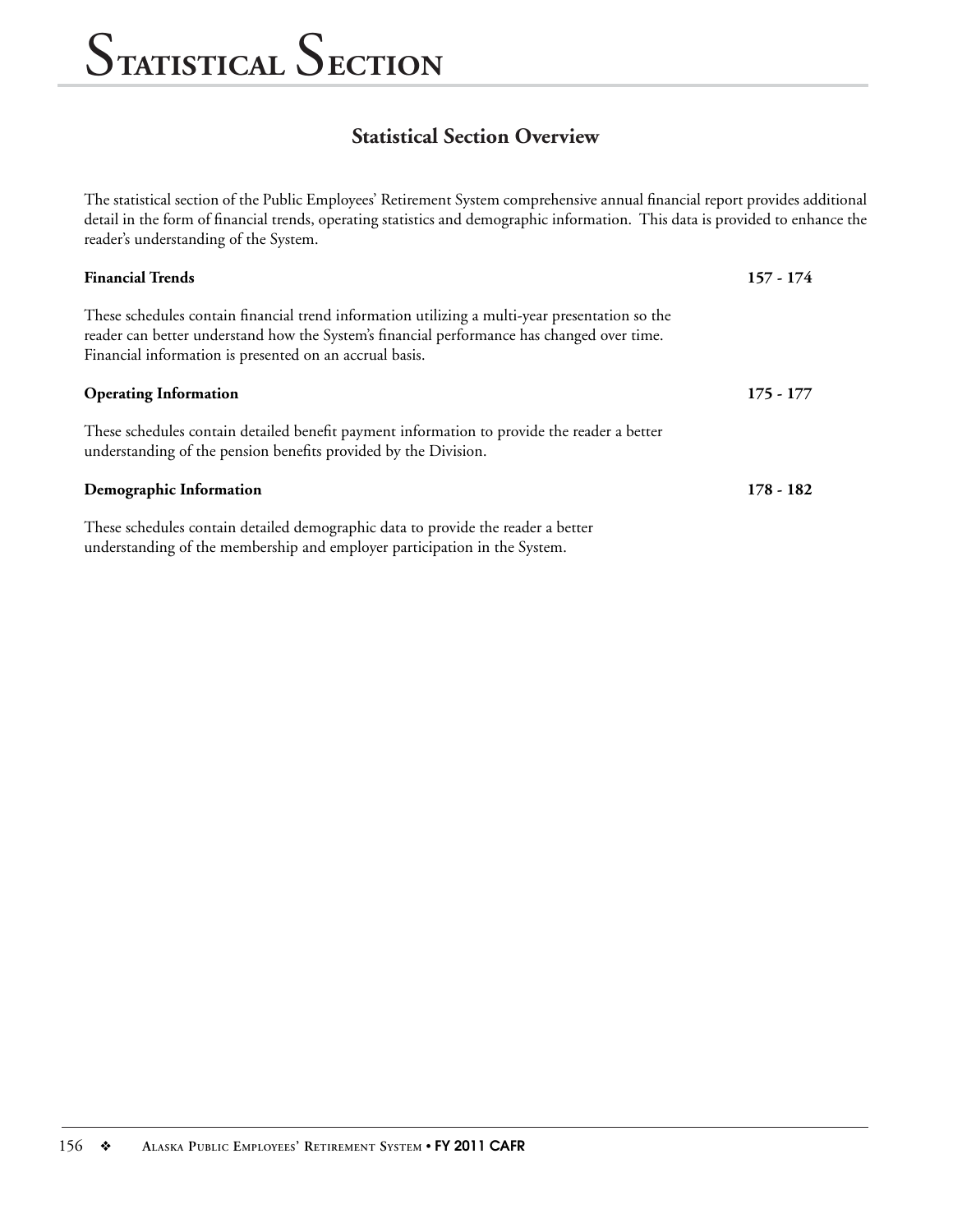### **Statistical Section Overview**

The statistical section of the Public Employees' Retirement System comprehensive annual financial report provides additional detail in the form of financial trends, operating statistics and demographic information. This data is provided to enhance the reader's understanding of the System.

| <b>Financial Trends</b>                                                                                                                                                                                                                                 | $157 - 174$ |
|---------------------------------------------------------------------------------------------------------------------------------------------------------------------------------------------------------------------------------------------------------|-------------|
| These schedules contain financial trend information utilizing a multi-year presentation so the<br>reader can better understand how the System's financial performance has changed over time.<br>Financial information is presented on an accrual basis. |             |
| <b>Operating Information</b>                                                                                                                                                                                                                            | $175 - 177$ |
| These schedules contain detailed benefit payment information to provide the reader a better<br>understanding of the pension benefits provided by the Division.                                                                                          |             |
| Demographic Information                                                                                                                                                                                                                                 | 178 - 182   |
| These schedules contain detailed demographic data to provide the reader a better                                                                                                                                                                        |             |

understanding of the membership and employer participation in the System.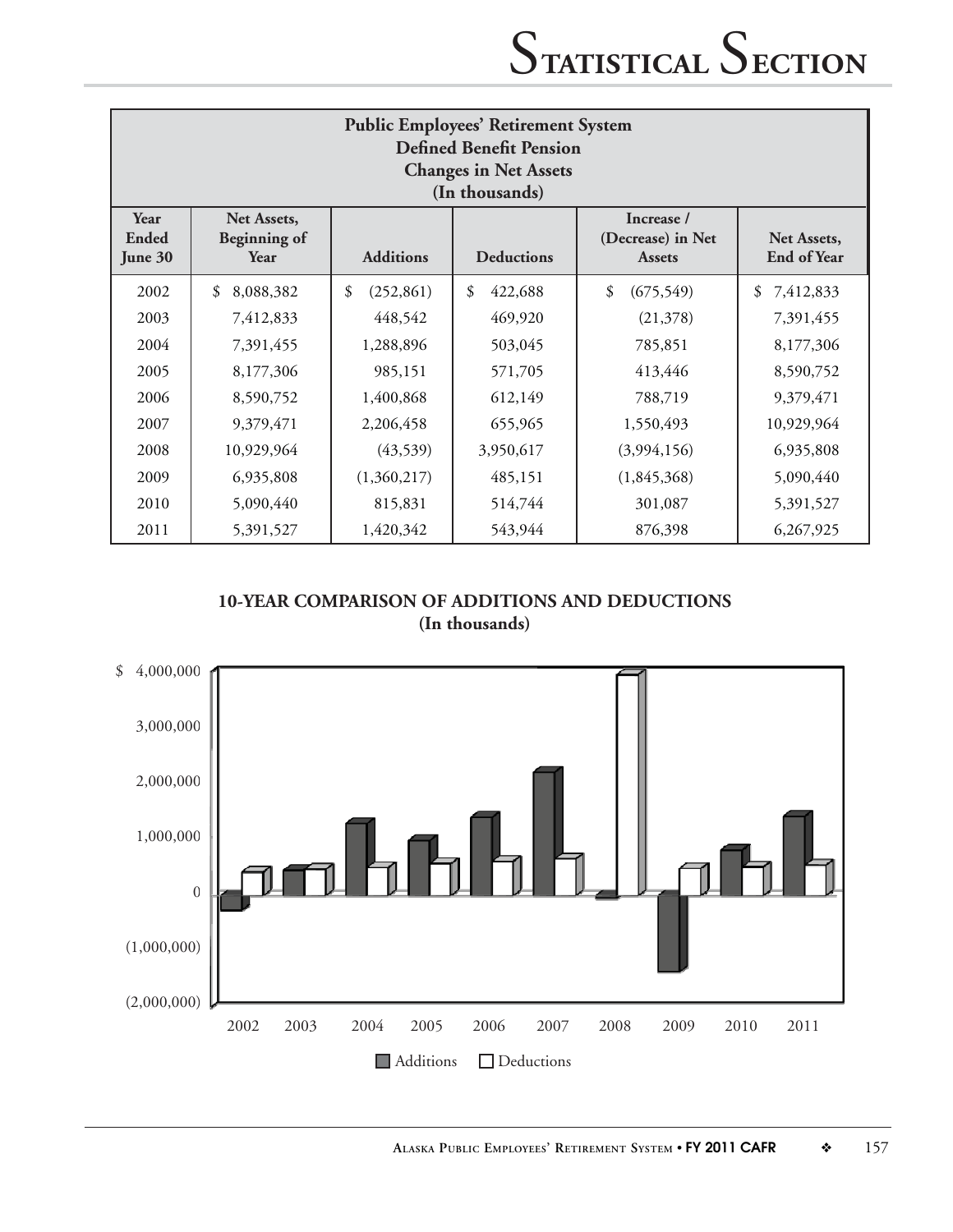| <b>Public Employees' Retirement System</b><br><b>Defined Benefit Pension</b><br><b>Changes in Net Assets</b><br>(In thousands) |                                            |                  |                   |                                                  |                            |  |  |
|--------------------------------------------------------------------------------------------------------------------------------|--------------------------------------------|------------------|-------------------|--------------------------------------------------|----------------------------|--|--|
| Year<br>Ended<br>June 30                                                                                                       | Net Assets,<br><b>Beginning of</b><br>Year | <b>Additions</b> | <b>Deductions</b> | Increase /<br>(Decrease) in Net<br><b>Assets</b> | Net Assets,<br>End of Year |  |  |
| 2002                                                                                                                           | 8,088,382<br>\$                            | \$<br>(252, 861) | \$<br>422,688     | \$<br>(675, 549)                                 | 7,412,833<br>\$            |  |  |
| 2003                                                                                                                           | 7,412,833                                  | 448,542          | 469,920           | (21,378)                                         | 7,391,455                  |  |  |
| 2004                                                                                                                           | 7,391,455                                  | 1,288,896        | 503,045           | 785,851                                          | 8,177,306                  |  |  |
| 2005                                                                                                                           | 8,177,306                                  | 985,151          | 571,705           | 413,446                                          | 8,590,752                  |  |  |
| 2006                                                                                                                           | 8,590,752                                  | 1,400,868        | 612,149           | 788,719                                          | 9,379,471                  |  |  |
| 2007                                                                                                                           | 9,379,471                                  | 2,206,458        | 655,965           | 1,550,493                                        | 10,929,964                 |  |  |
| 2008                                                                                                                           | 10,929,964                                 | (43,539)         | 3,950,617         | (3,994,156)                                      | 6,935,808                  |  |  |
| 2009                                                                                                                           | 6,935,808                                  | (1,360,217)      | 485,151           | (1,845,368)                                      | 5,090,440                  |  |  |
| 2010                                                                                                                           | 5,090,440                                  | 815,831          | 514,744           | 301,087                                          | 5,391,527                  |  |  |
| 2011                                                                                                                           | 5,391,527                                  | 1,420,342        | 543,944           | 876,398                                          | 6,267,925                  |  |  |

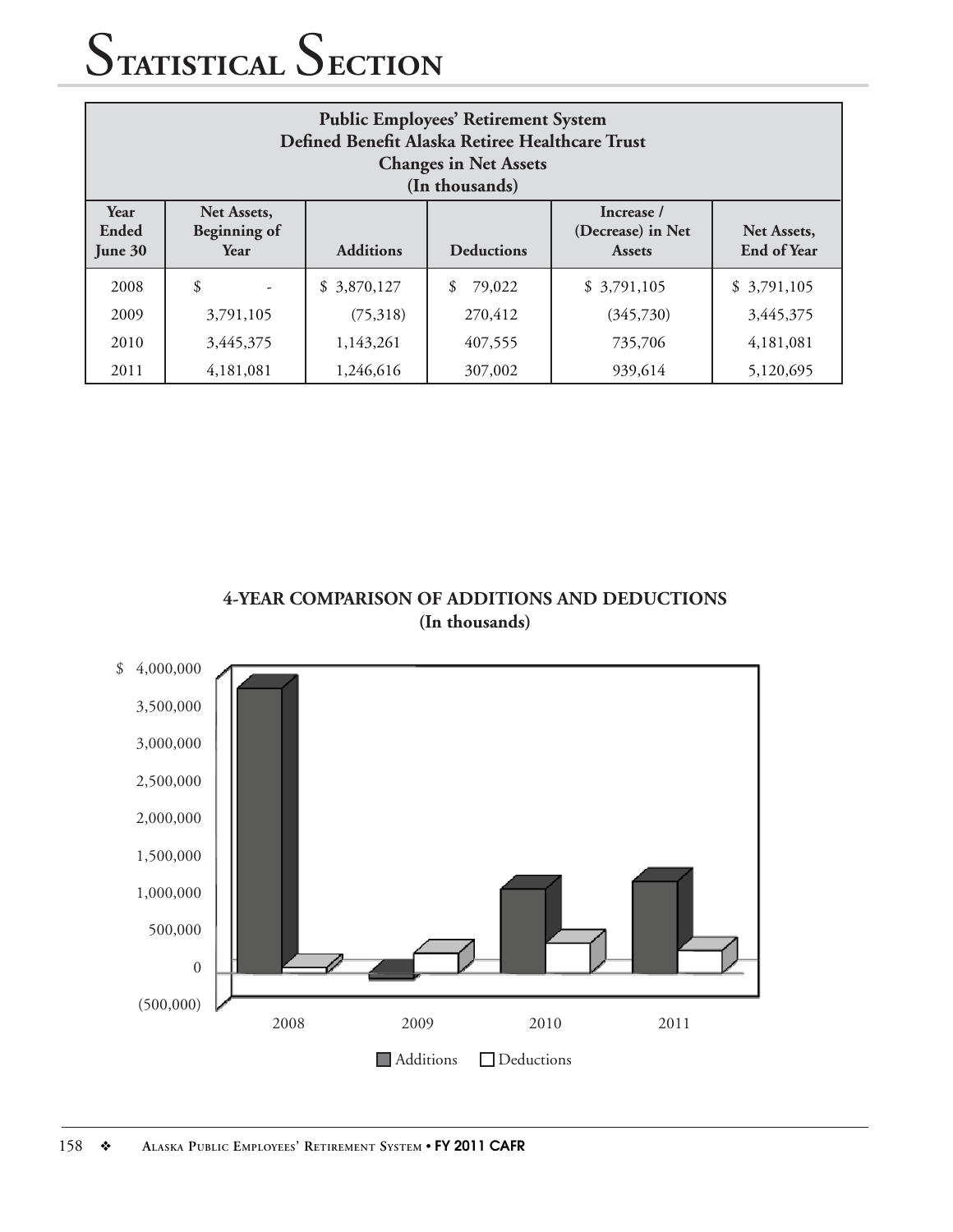| <b>Public Employees' Retirement System</b><br>Defined Benefit Alaska Retiree Healthcare Trust<br><b>Changes in Net Assets</b><br>(In thousands) |                                            |                  |                   |                                                  |                                   |  |
|-------------------------------------------------------------------------------------------------------------------------------------------------|--------------------------------------------|------------------|-------------------|--------------------------------------------------|-----------------------------------|--|
| Year<br>Ended<br><b>June 30</b>                                                                                                                 | Net Assets,<br><b>Beginning of</b><br>Year | <b>Additions</b> | <b>Deductions</b> | Increase /<br>(Decrease) in Net<br><b>Assets</b> | Net Assets,<br><b>End of Year</b> |  |
| 2008                                                                                                                                            | \$<br>$\overline{\phantom{a}}$             | \$3,870,127      | \$<br>79,022      | \$3,791,105                                      | \$3,791,105                       |  |
| 2009                                                                                                                                            | 3,791,105                                  | (75,318)         | 270,412           | (345,730)                                        | 3,445,375                         |  |
| 3,445,375<br>1,143,261<br>407,555<br>735,706<br>4,181,081<br>2010                                                                               |                                            |                  |                   |                                                  |                                   |  |
| 2011                                                                                                                                            | 4,181,081                                  | 1,246,616        | 307,002           | 939,614                                          | 5,120,695                         |  |

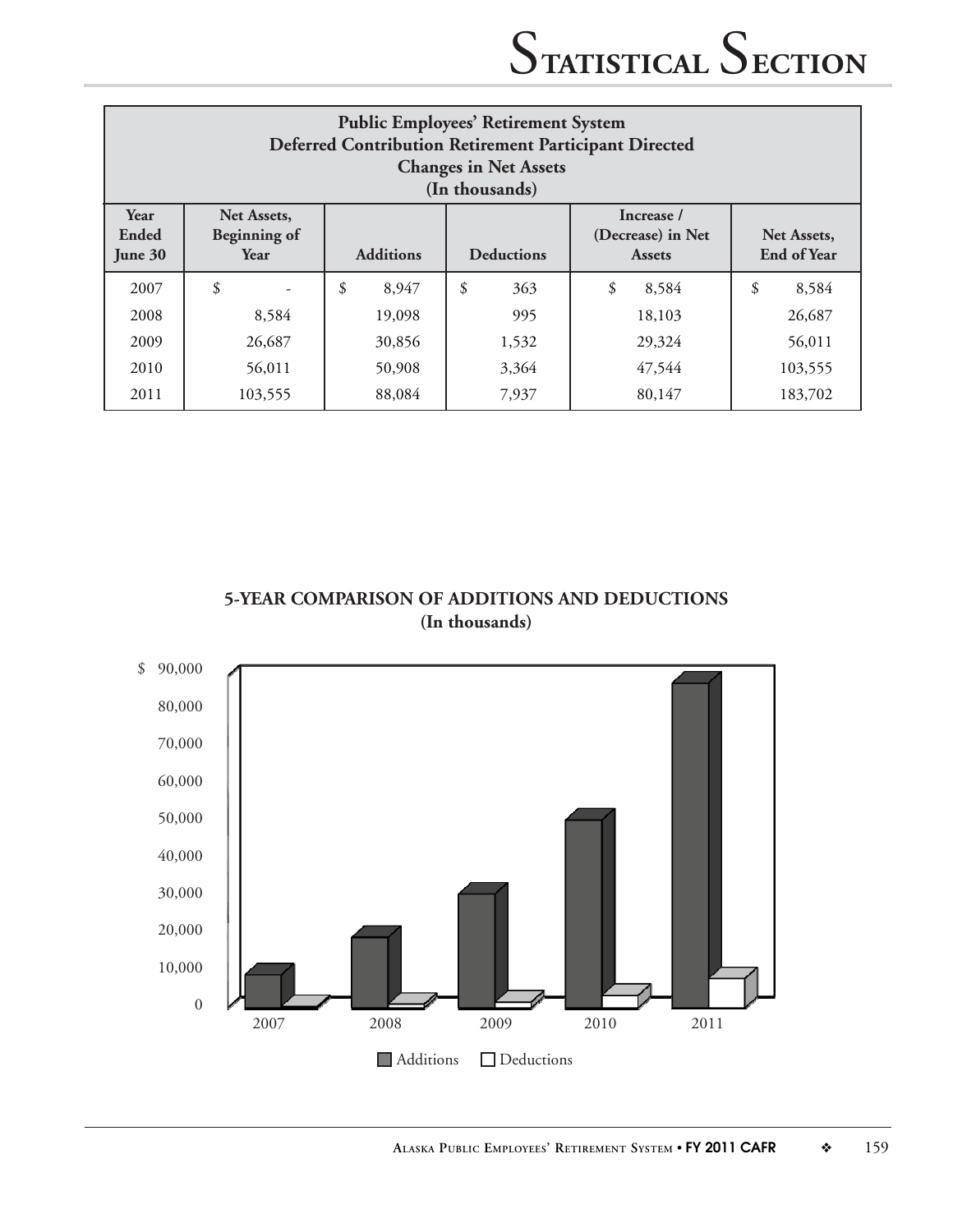| <b>Public Employees' Retirement System</b><br><b>Deferred Contribution Retirement Participant Directed</b><br><b>Changes in Net Assets</b><br>(In thousands) |                                            |                  |                   |                                                  |                            |  |
|--------------------------------------------------------------------------------------------------------------------------------------------------------------|--------------------------------------------|------------------|-------------------|--------------------------------------------------|----------------------------|--|
| Year<br>Ended<br>June 30                                                                                                                                     | Net Assets,<br><b>Beginning of</b><br>Year | <b>Additions</b> | <b>Deductions</b> | Increase /<br>(Decrease) in Net<br><b>Assets</b> | Net Assets,<br>End of Year |  |
| 2007                                                                                                                                                         | \$                                         | \$<br>8,947      | \$<br>363         | \$<br>8,584                                      | \$<br>8,584                |  |
| 2008                                                                                                                                                         | 8,584                                      | 19,098           | 995               | 18,103                                           | 26,687                     |  |
| 2009                                                                                                                                                         | 26,687                                     | 30,856           | 1,532             | 29,324                                           | 56,011                     |  |
| 2010                                                                                                                                                         | 56,011                                     | 50,908           | 3,364             |                                                  | 103,555                    |  |
| 2011                                                                                                                                                         | 103,555                                    | 88,084           | 7,937             | 80,147                                           | 183,702                    |  |

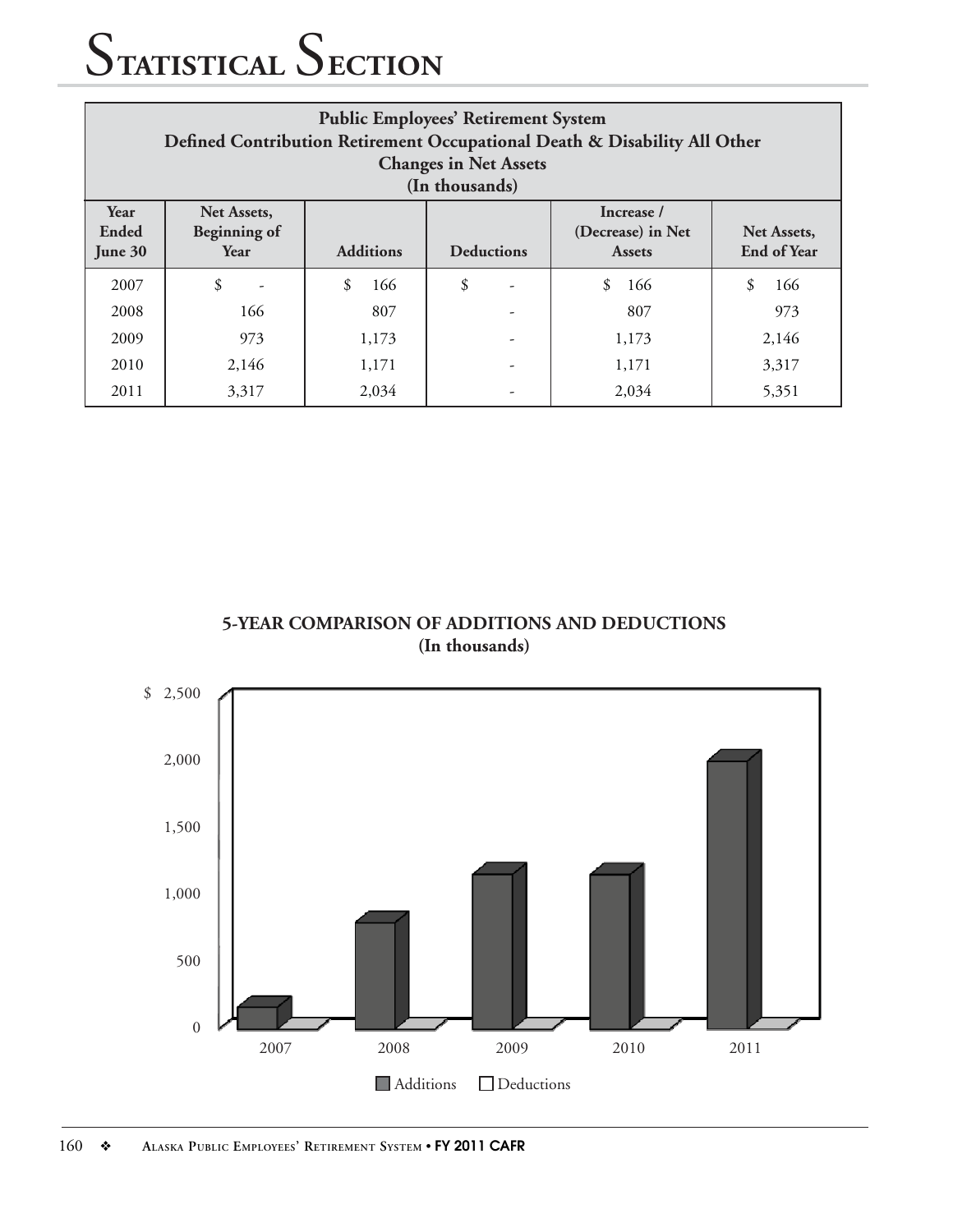| <b>Public Employees' Retirement System</b><br>Defined Contribution Retirement Occupational Death & Disability All Other<br><b>Changes in Net Assets</b><br>(In thousands) |                                            |                  |                   |           |                            |  |  |
|---------------------------------------------------------------------------------------------------------------------------------------------------------------------------|--------------------------------------------|------------------|-------------------|-----------|----------------------------|--|--|
| Year<br>Ended<br>June 30                                                                                                                                                  | Net Assets,<br><b>Beginning of</b><br>Year | <b>Additions</b> | <b>Deductions</b> |           | Net Assets,<br>End of Year |  |  |
| 2007                                                                                                                                                                      | \$                                         | \$<br>166        | \$                | \$<br>166 | \$<br>166                  |  |  |
| 2008                                                                                                                                                                      | 166                                        | 807              |                   | 807       | 973                        |  |  |
| 2009                                                                                                                                                                      | 973                                        | 1,173            |                   | 1,173     | 2,146                      |  |  |
| 2010                                                                                                                                                                      | 2,146                                      | 1,171            | 3,317<br>1,171    |           |                            |  |  |
| 2011                                                                                                                                                                      | 3,317                                      | 2,034            |                   | 2.034     | 5,351                      |  |  |

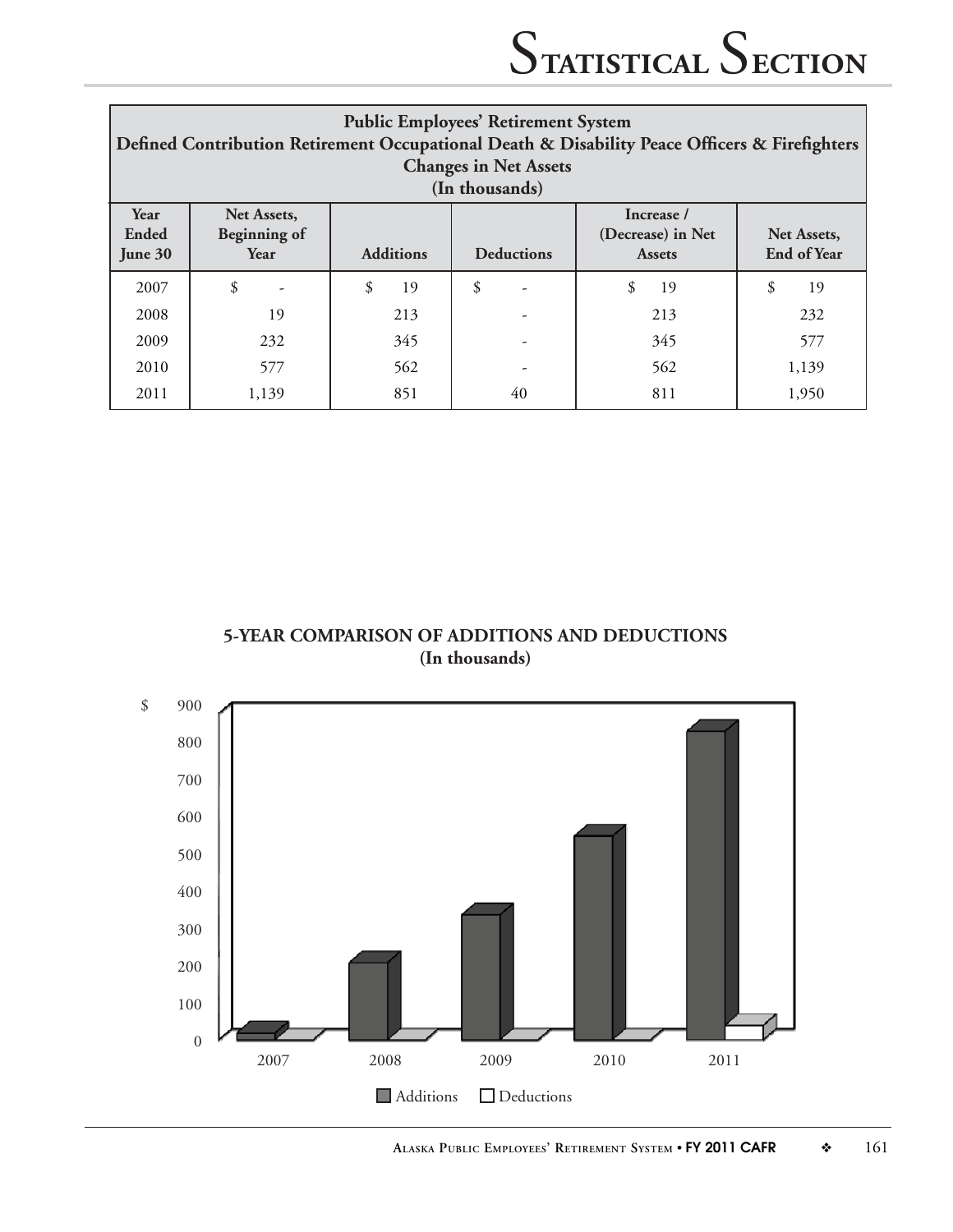| <b>Public Employees' Retirement System</b><br>Defined Contribution Retirement Occupational Death & Disability Peace Officers & Firefighters<br><b>Changes in Net Assets</b><br>(In thousands) |                                            |                                       |    |                                                  |                                   |  |
|-----------------------------------------------------------------------------------------------------------------------------------------------------------------------------------------------|--------------------------------------------|---------------------------------------|----|--------------------------------------------------|-----------------------------------|--|
| Year<br>Ended<br><b>June 30</b>                                                                                                                                                               | Net Assets,<br><b>Beginning of</b><br>Year | <b>Additions</b><br><b>Deductions</b> |    | Increase /<br>(Decrease) in Net<br><b>Assets</b> | Net Assets,<br><b>End of Year</b> |  |
| 2007                                                                                                                                                                                          | \$                                         | \$<br>19                              | \$ | \$<br>19                                         | 19<br>\$                          |  |
| 2008                                                                                                                                                                                          | 19                                         | 213                                   |    | 213                                              | 232                               |  |
| 2009                                                                                                                                                                                          | 232                                        | 345                                   |    | 345                                              | 577                               |  |
| 2010                                                                                                                                                                                          | 577                                        | 562                                   |    | 562                                              | 1,139                             |  |
| 2011                                                                                                                                                                                          | 1,139                                      | 851                                   | 40 | 811                                              | 1,950                             |  |

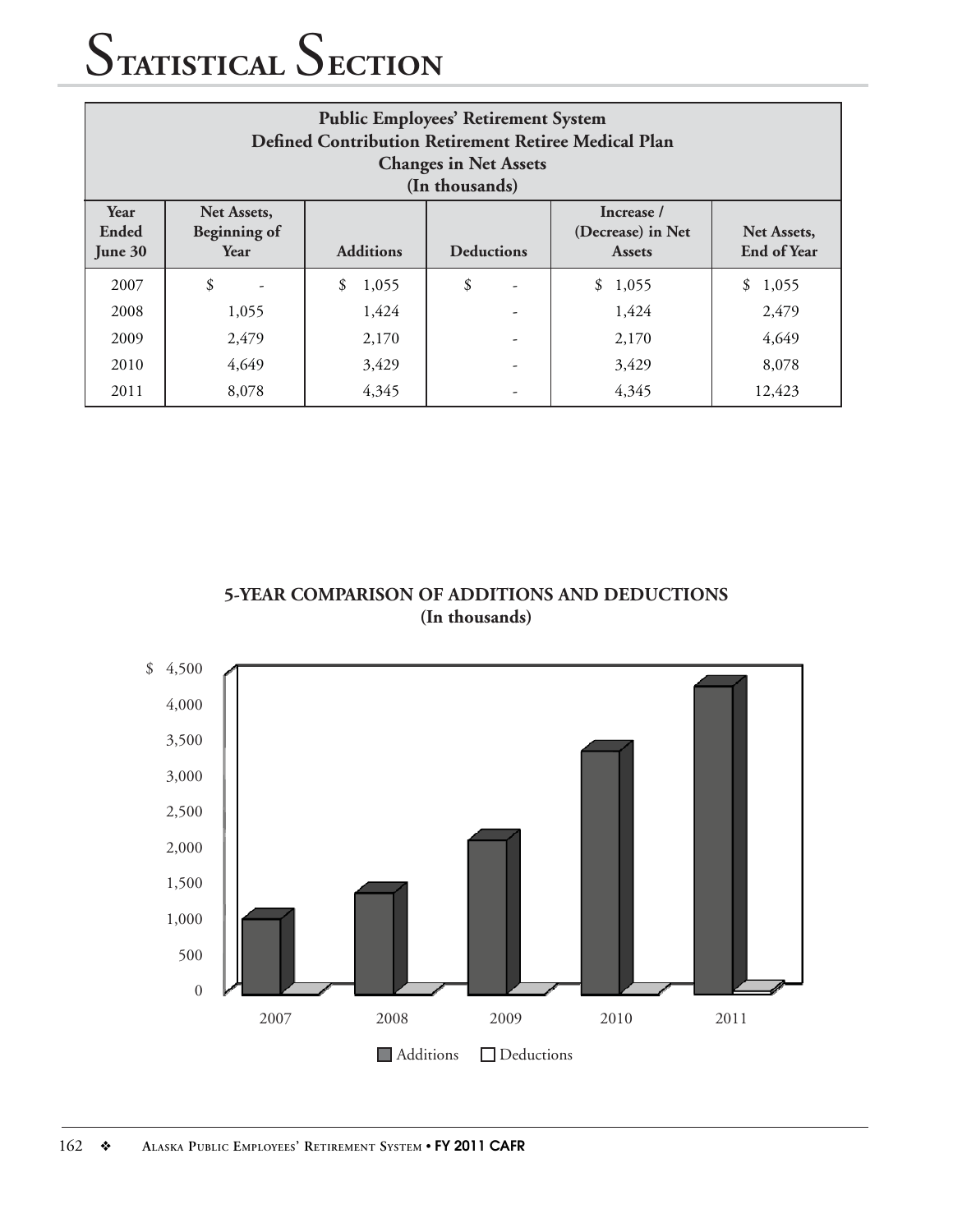| <b>Public Employees' Retirement System</b><br>Defined Contribution Retirement Retiree Medical Plan<br><b>Changes in Net Assets</b><br>(In thousands) |                                                   |                  |                                |                                                  |                                   |  |  |
|------------------------------------------------------------------------------------------------------------------------------------------------------|---------------------------------------------------|------------------|--------------------------------|--------------------------------------------------|-----------------------------------|--|--|
| Year<br>Ended<br>June 30                                                                                                                             | Net Assets,<br><b>Beginning of</b><br><b>Year</b> | <b>Additions</b> | <b>Deductions</b>              | Increase /<br>(Decrease) in Net<br><b>Assets</b> | Net Assets,<br><b>End of Year</b> |  |  |
| 2007                                                                                                                                                 | \$                                                | \$<br>1,055      | \$<br>$\overline{\phantom{m}}$ | \$<br>1,055                                      | \$<br>1,055                       |  |  |
| 2008                                                                                                                                                 | 1,055                                             | 1,424            | ۰                              | 1,424                                            | 2,479                             |  |  |
| 2009                                                                                                                                                 | 2,479                                             | 2,170            | $\overline{\phantom{a}}$       | 2,170                                            | 4,649                             |  |  |
| 2010                                                                                                                                                 | 4,649                                             | 3,429            | 3,429<br>8,078<br>-            |                                                  |                                   |  |  |
| 2011                                                                                                                                                 | 8,078                                             | 4,345            | -                              | 4,345                                            | 12,423                            |  |  |

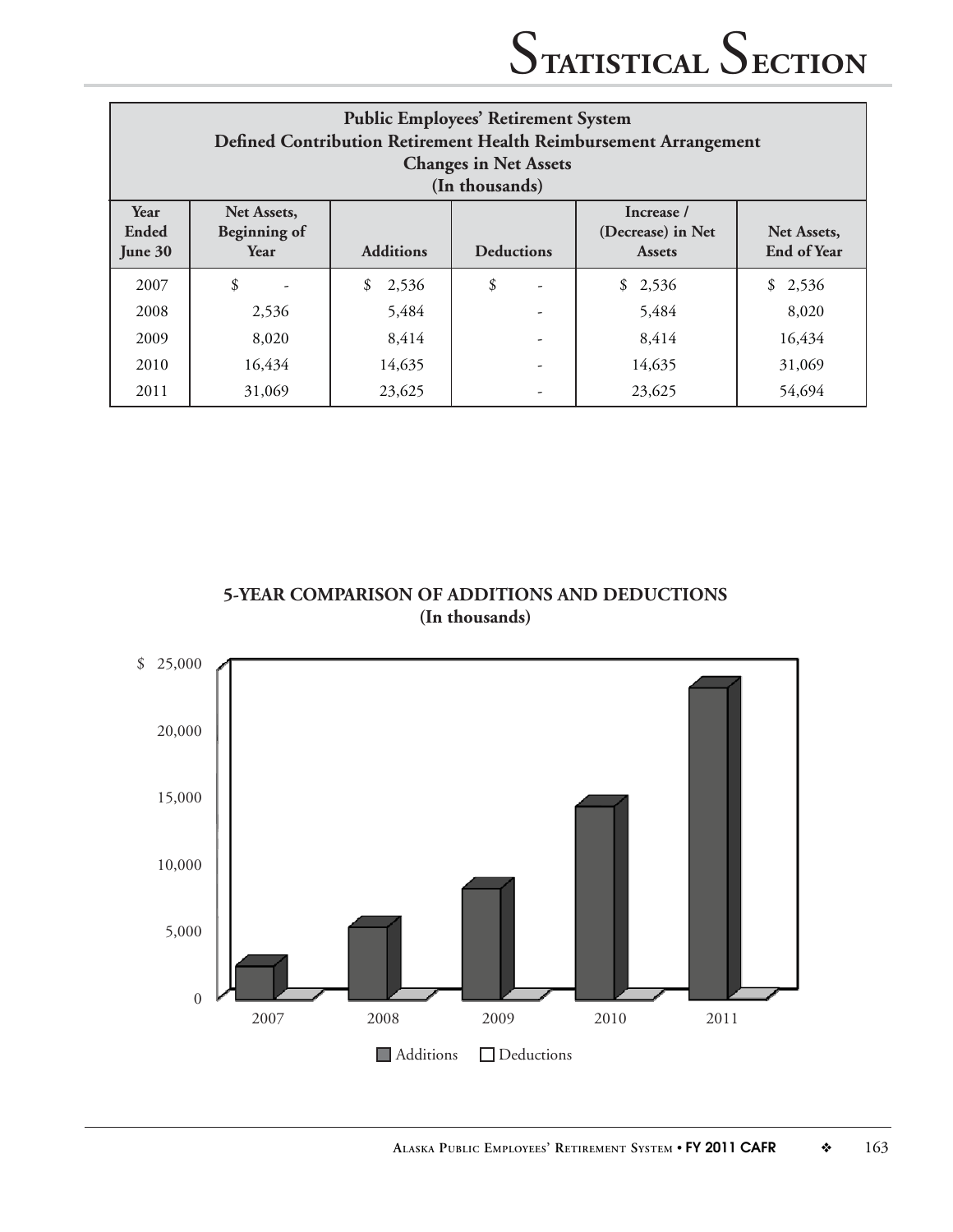| <b>Public Employees' Retirement System</b><br>Defined Contribution Retirement Health Reimbursement Arrangement<br><b>Changes in Net Assets</b><br>(In thousands) |                                                   |                                                        |                      |                                                  |                                   |  |
|------------------------------------------------------------------------------------------------------------------------------------------------------------------|---------------------------------------------------|--------------------------------------------------------|----------------------|--------------------------------------------------|-----------------------------------|--|
| Year<br>Ended<br>June 30                                                                                                                                         | Net Assets,<br><b>Beginning of</b><br><b>Year</b> | <b>Additions</b>                                       | <b>Deductions</b>    | Increase /<br>(Decrease) in Net<br><b>Assets</b> | Net Assets,<br><b>End of Year</b> |  |
| 2007                                                                                                                                                             | \$                                                | \$<br>2,536                                            | \$<br>$\overline{a}$ | \$2,536                                          | \$2,536                           |  |
| 2008                                                                                                                                                             | 2,536                                             | 5,484                                                  | -                    | 5,484                                            | 8,020                             |  |
| 2009                                                                                                                                                             | 8,020                                             | 8,414                                                  | -                    | 8,414                                            | 16,434                            |  |
| 2010                                                                                                                                                             | 16,434                                            | 14,635<br>14,635<br>31,069<br>$\overline{\phantom{a}}$ |                      |                                                  |                                   |  |
| 2011                                                                                                                                                             | 31,069                                            | 23,625                                                 | -                    | 23,625                                           | 54,694                            |  |

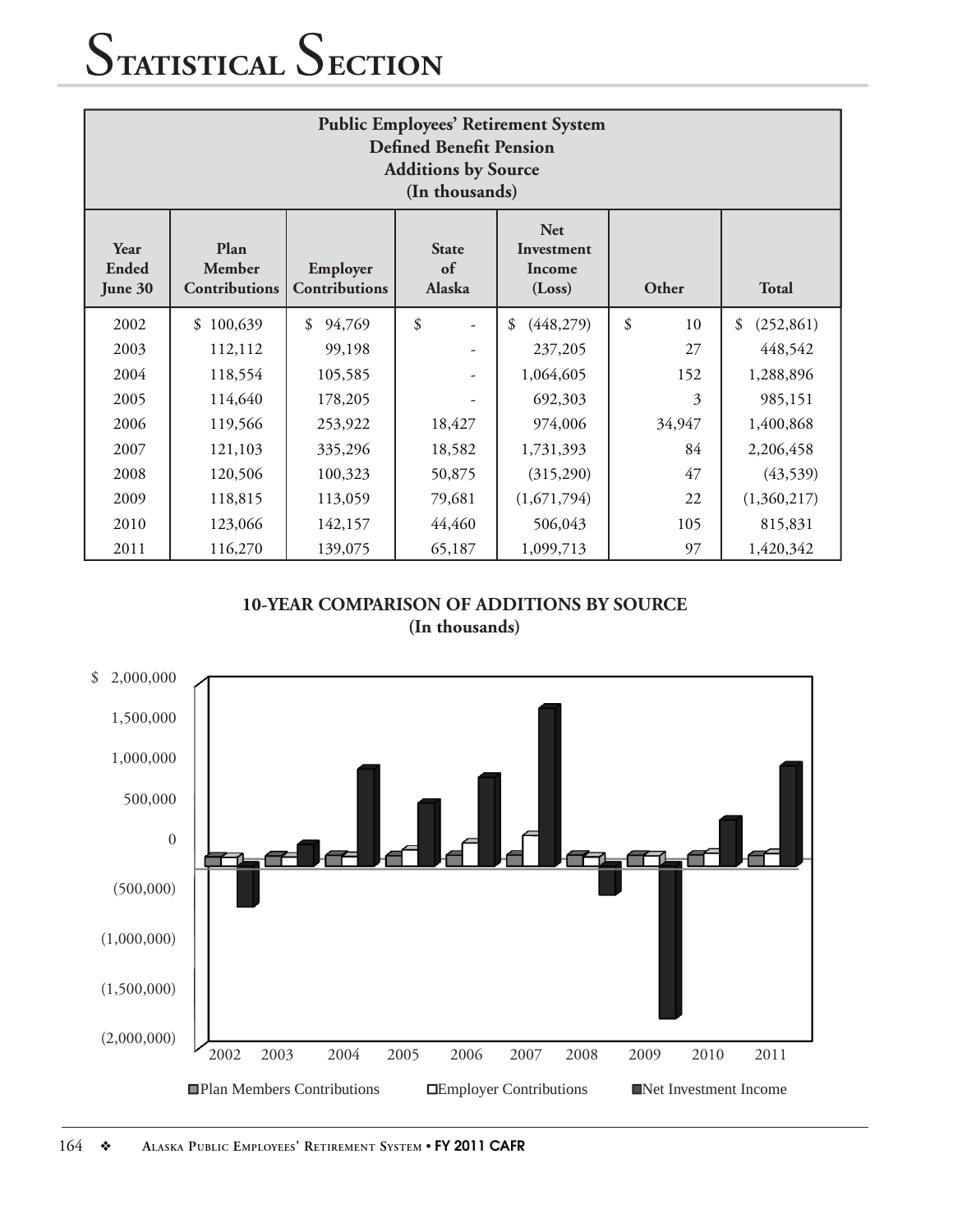| <b>Public Employees' Retirement System</b><br><b>Defined Benefit Pension</b><br><b>Additions by Source</b><br>(In thousands)                                                    |           |              |                          |                  |              |                  |  |
|---------------------------------------------------------------------------------------------------------------------------------------------------------------------------------|-----------|--------------|--------------------------|------------------|--------------|------------------|--|
| <b>Net</b><br>Plan<br>Year<br><b>State</b><br>Investment<br><b>Ended</b><br>Employer<br>of<br>Member<br>Income<br>Contributions<br>Contributions<br>Alaska<br>June 30<br>(Loss) |           |              |                          | Other            | <b>Total</b> |                  |  |
| 2002                                                                                                                                                                            | \$100,639 | 94,769<br>\$ | \$                       | (448, 279)<br>\$ | \$<br>10     | \$<br>(252, 861) |  |
| 2003                                                                                                                                                                            | 112,112   | 99,198       | $\overline{\phantom{a}}$ | 237,205          | 27           | 448,542          |  |
| 2004                                                                                                                                                                            | 118,554   | 105,585      |                          | 1,064,605        | 152          | 1,288,896        |  |
| 2005                                                                                                                                                                            | 114,640   | 178,205      |                          | 692,303          | 3            | 985,151          |  |
| 2006                                                                                                                                                                            | 119,566   | 253,922      | 18,427                   | 974,006          | 34,947       | 1,400,868        |  |
| 2007                                                                                                                                                                            | 121,103   | 335,296      | 18,582                   | 1,731,393        | 84           | 2,206,458        |  |
| 2008                                                                                                                                                                            | 120,506   | 100,323      | 50,875                   | (315,290)        | 47           | (43,539)         |  |
| 2009                                                                                                                                                                            | 118,815   | 113,059      | 79,681                   | (1,671,794)      | 22           | (1,360,217)      |  |
| 2010                                                                                                                                                                            | 123,066   | 142,157      | 44,460                   | 506,043          | 105          | 815,831          |  |
| 2011                                                                                                                                                                            | 116,270   | 139,075      | 65,187                   | 1,099,713        | 97           | 1,420,342        |  |

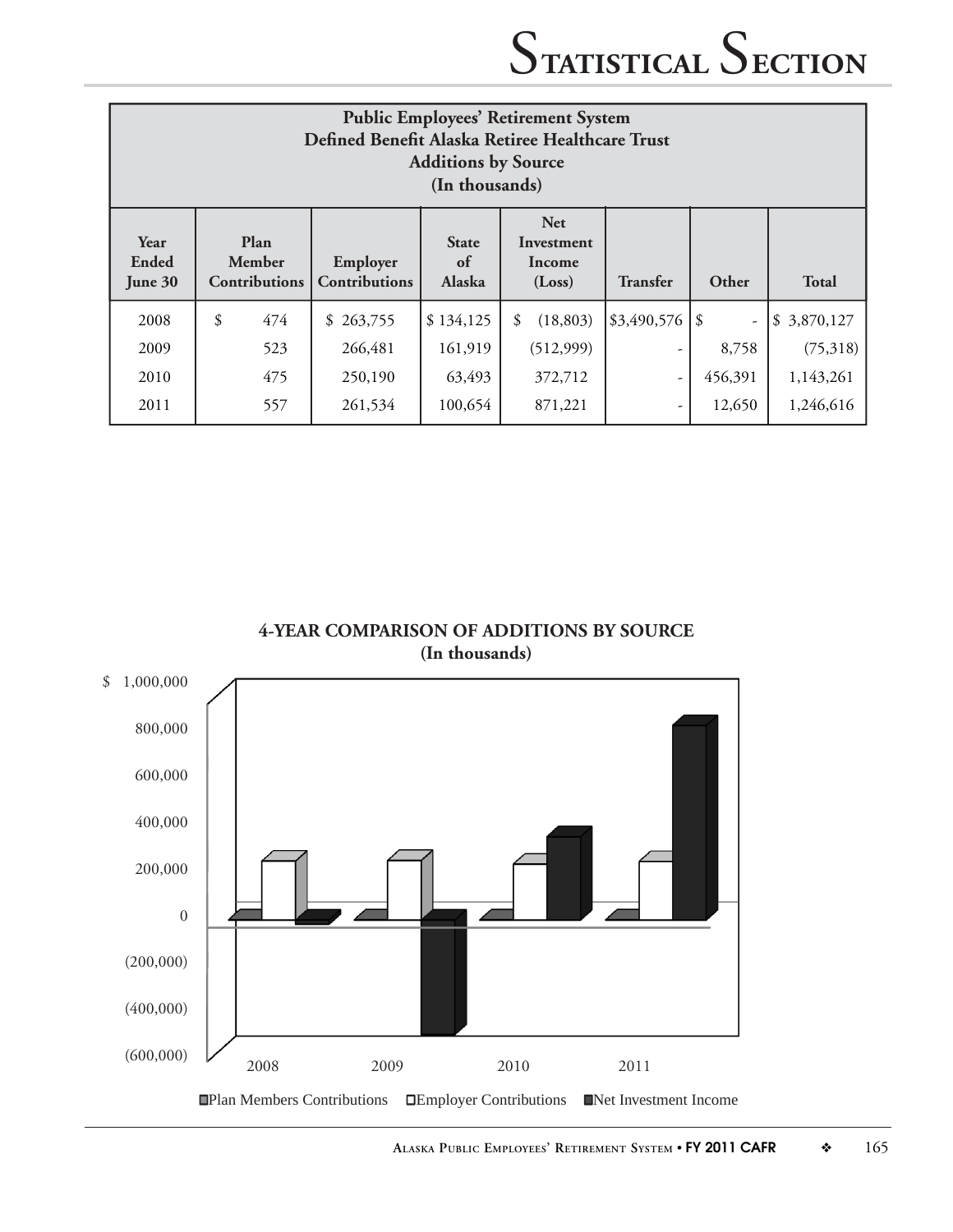| <b>Public Employees' Retirement System</b><br>Defined Benefit Alaska Retiree Healthcare Trust<br><b>Additions by Source</b><br>(In thousands) |    |                                        |                                  |                              |                                              |                          |         |              |
|-----------------------------------------------------------------------------------------------------------------------------------------------|----|----------------------------------------|----------------------------------|------------------------------|----------------------------------------------|--------------------------|---------|--------------|
| Year<br>Ended<br>June 30                                                                                                                      |    | Plan<br>Member<br><b>Contributions</b> | Employer<br><b>Contributions</b> | <b>State</b><br>of<br>Alaska | <b>Net</b><br>Investment<br>Income<br>(Loss) | Transfer                 | Other   | <b>Total</b> |
| 2008                                                                                                                                          | \$ | 474                                    | \$263,755                        | \$134,125                    | \$<br>(18, 803)                              | \$3,490,576              | -\$     | \$3,870,127  |
| 2009                                                                                                                                          |    | 523                                    | 266,481                          | 161,919                      | (512,999)                                    | $\overline{\phantom{a}}$ | 8,758   | (75,318)     |
| 2010                                                                                                                                          |    | 475                                    | 250,190                          | 63,493                       | 372,712                                      | $\overline{\phantom{a}}$ | 456,391 | 1,143,261    |
| 2011                                                                                                                                          |    | 557                                    | 261,534                          | 100,654                      | 871,221                                      | $\overline{\phantom{a}}$ | 12,650  | 1,246,616    |





**ALASKA PUBLIC EMPLOYEES' RETIREMENT SYSTEM** • **FY 2011 CAFR** ❖ 165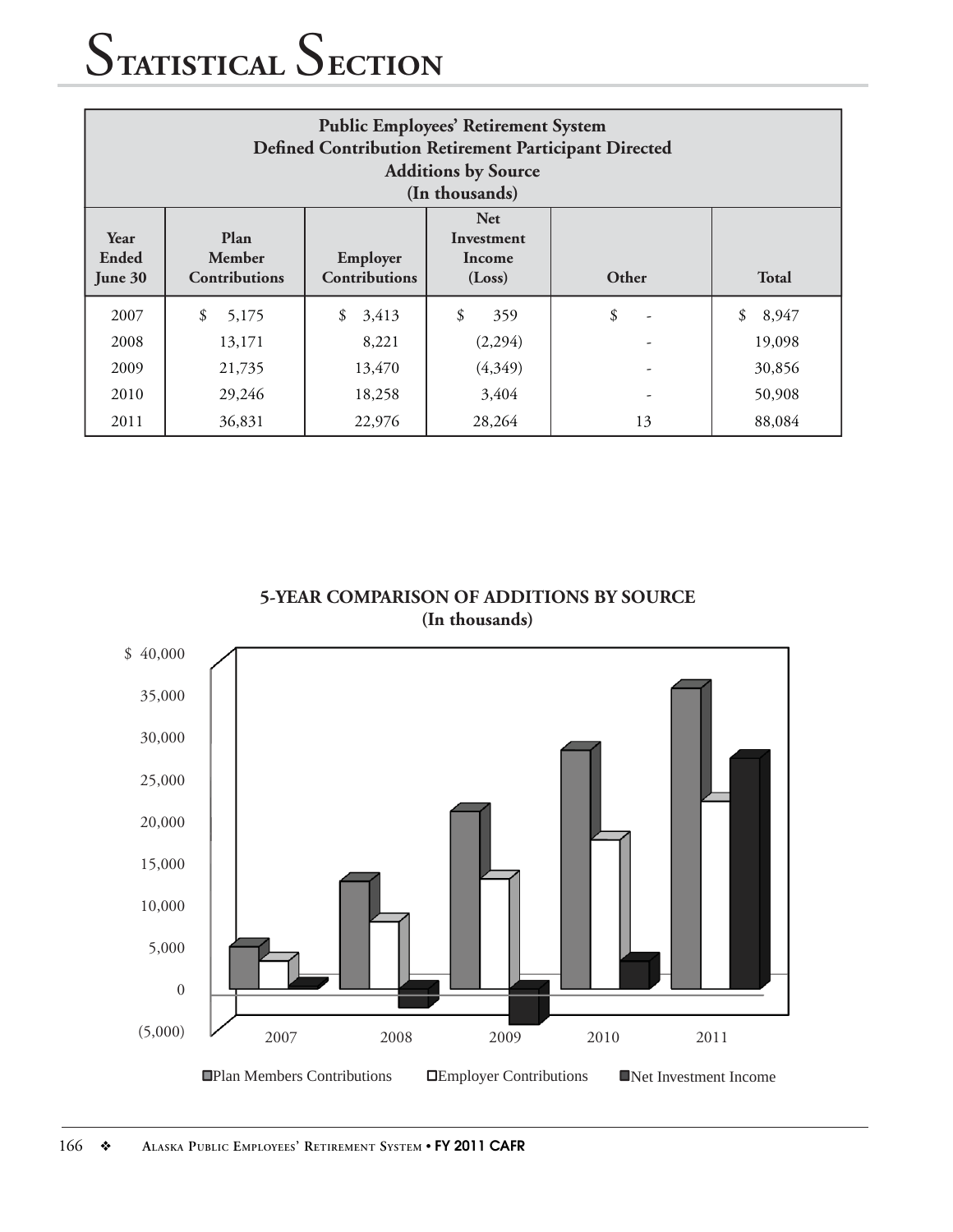| <b>Public Employees' Retirement System</b><br>Defined Contribution Retirement Participant Directed<br><b>Additions by Source</b><br>(In thousands) |                                                                                          |             |                                              |       |              |  |
|----------------------------------------------------------------------------------------------------------------------------------------------------|------------------------------------------------------------------------------------------|-------------|----------------------------------------------|-------|--------------|--|
| Year<br>Ended<br>June 30                                                                                                                           | <b>Plan</b><br><b>Member</b><br>Employer<br><b>Contributions</b><br><b>Contributions</b> |             | <b>Net</b><br>Investment<br>Income<br>(Loss) | Other | <b>Total</b> |  |
| 2007                                                                                                                                               | \$<br>5,175                                                                              | \$<br>3,413 | \$<br>359                                    | \$    | \$<br>8,947  |  |
| 2008                                                                                                                                               | 13,171                                                                                   | 8,221       | (2,294)                                      |       | 19,098       |  |
| 2009                                                                                                                                               | 21,735                                                                                   | 13,470      | (4,349)                                      |       | 30,856       |  |
| 2010                                                                                                                                               | 29,246                                                                                   | 18,258      | 3,404                                        |       | 50,908       |  |
| 2011                                                                                                                                               | 36,831                                                                                   | 22,976      | 28,264                                       | 13    | 88,084       |  |

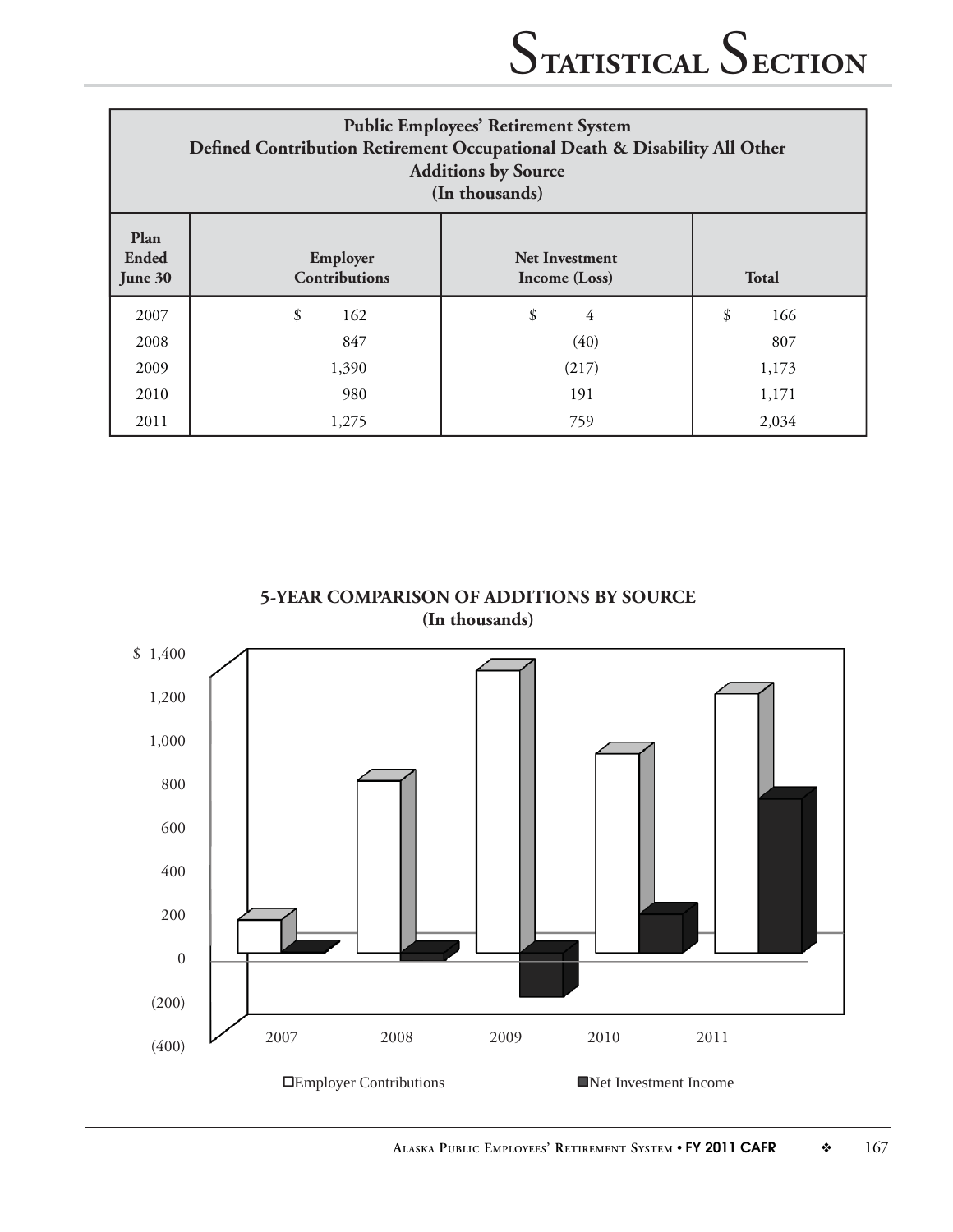| <b>Public Employees' Retirement System</b><br>Defined Contribution Retirement Occupational Death & Disability All Other<br><b>Additions by Source</b><br>(In thousands) |                                  |                                        |              |  |  |  |  |
|-------------------------------------------------------------------------------------------------------------------------------------------------------------------------|----------------------------------|----------------------------------------|--------------|--|--|--|--|
| Plan<br><b>Ended</b><br>June 30                                                                                                                                         | Employer<br><b>Contributions</b> | <b>Net Investment</b><br>Income (Loss) | <b>Total</b> |  |  |  |  |
| 2007                                                                                                                                                                    | \$<br>162                        | \$<br>4                                | \$<br>166    |  |  |  |  |
| 2008                                                                                                                                                                    | 847                              | (40)                                   | 807          |  |  |  |  |
| 2009                                                                                                                                                                    | 1,390                            | (217)                                  | 1,173        |  |  |  |  |
| 2010                                                                                                                                                                    | 980                              | 191                                    | 1,171        |  |  |  |  |
| 2011                                                                                                                                                                    | 1,275                            | 759                                    | 2,034        |  |  |  |  |

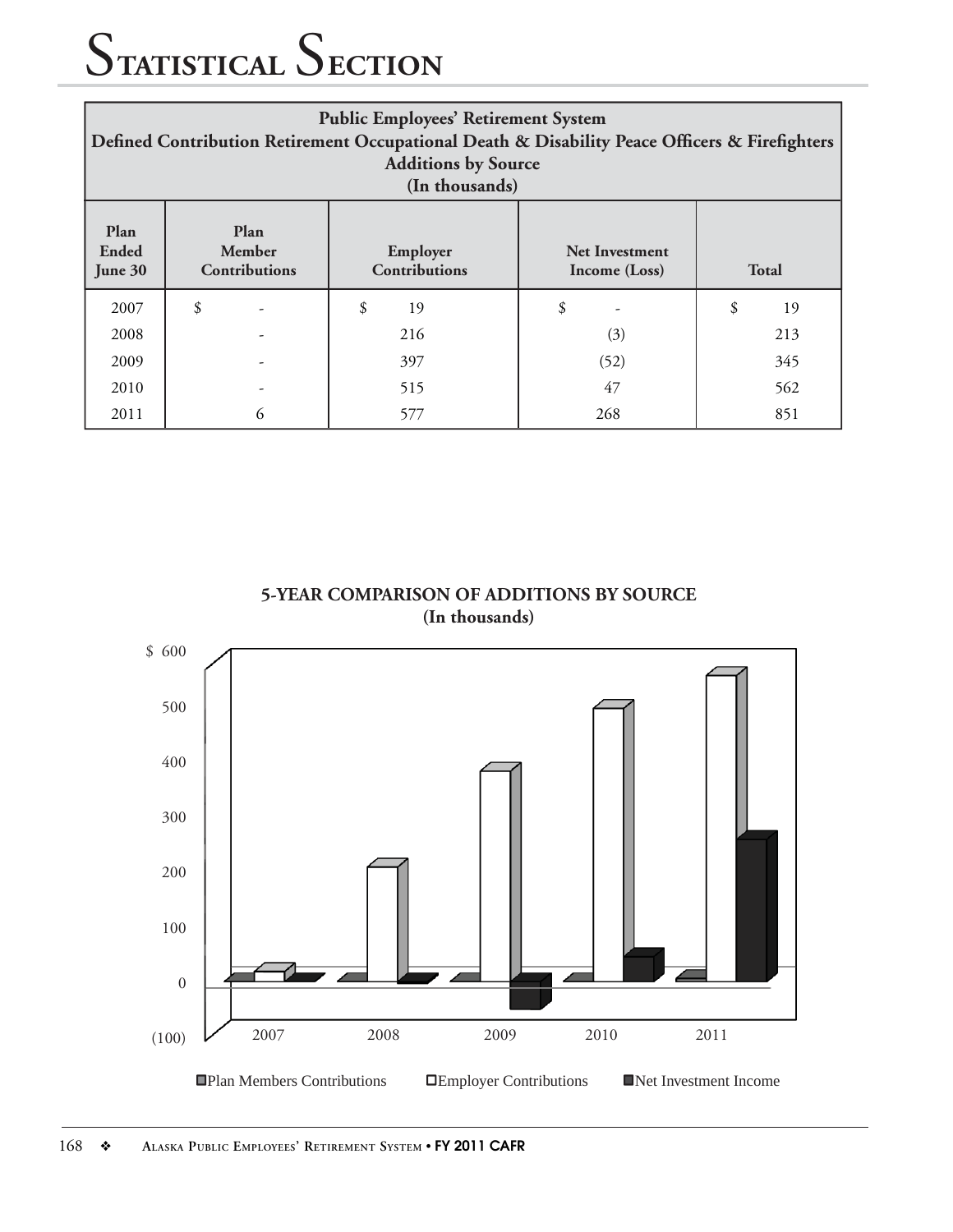| <b>Public Employees' Retirement System</b><br>Defined Contribution Retirement Occupational Death & Disability Peace Officers & Firefighters<br><b>Additions by Source</b><br>(In thousands) |    |                           |                                        |              |  |  |
|---------------------------------------------------------------------------------------------------------------------------------------------------------------------------------------------|----|---------------------------|----------------------------------------|--------------|--|--|
| Plan<br>Plan<br><b>Ended</b><br>Member<br><b>Contributions</b><br>June 30                                                                                                                   |    | Employer<br>Contributions | <b>Net Investment</b><br>Income (Loss) | <b>Total</b> |  |  |
| 2007                                                                                                                                                                                        | \$ | \$<br>19                  | \$                                     | \$<br>19     |  |  |
| 2008                                                                                                                                                                                        |    | 216                       | (3)                                    | 213          |  |  |
| 2009                                                                                                                                                                                        |    | 397                       | (52)                                   | 345          |  |  |
| 2010                                                                                                                                                                                        |    | 515                       | 47                                     | 562          |  |  |
| 2011                                                                                                                                                                                        | 6  | 577                       | 268                                    | 851          |  |  |

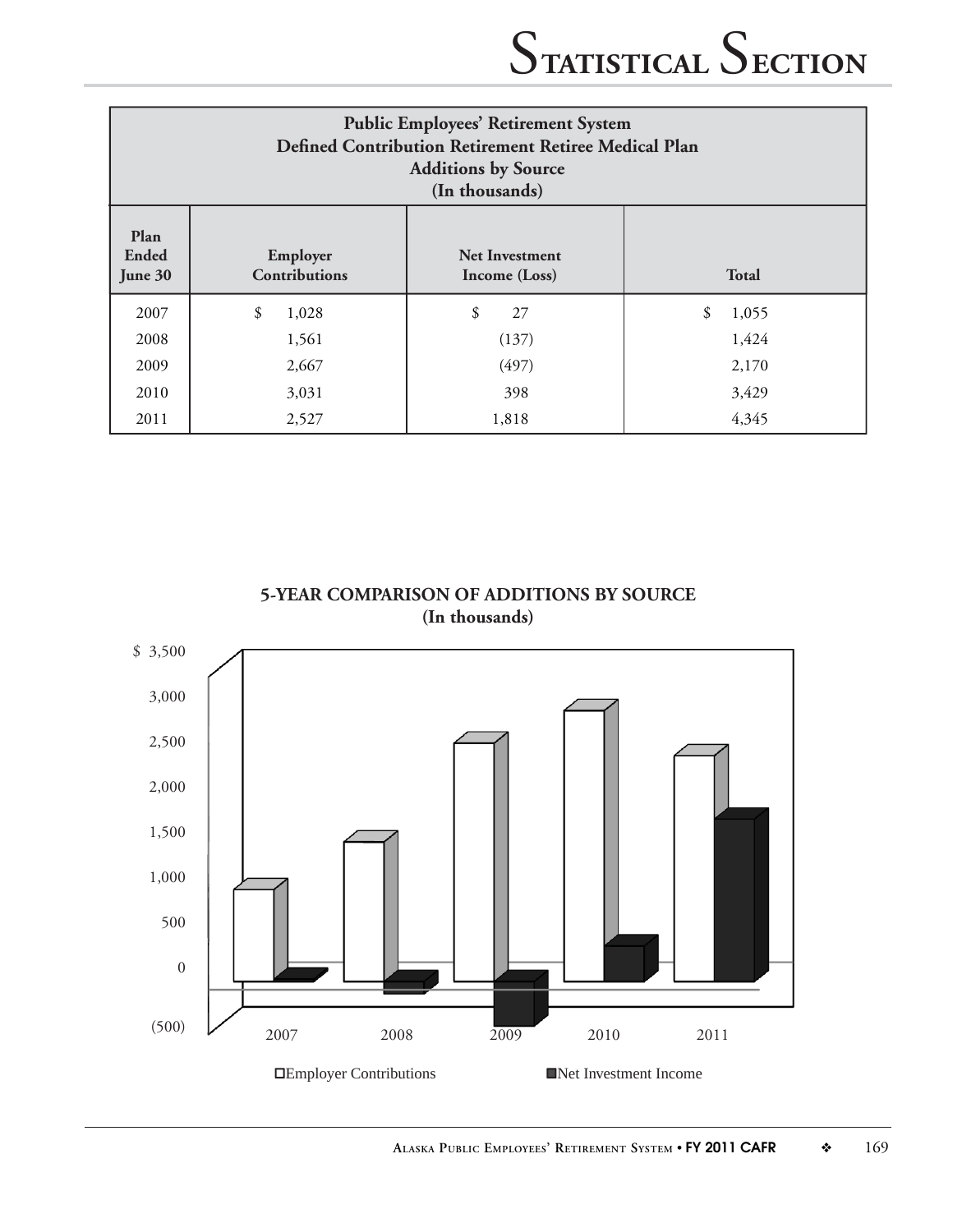| <b>Public Employees' Retirement System</b><br>Defined Contribution Retirement Retiree Medical Plan<br><b>Additions by Source</b><br>(In thousands) |                       |          |             |  |  |  |
|----------------------------------------------------------------------------------------------------------------------------------------------------|-----------------------|----------|-------------|--|--|--|
| Plan<br>Ended<br>Employer<br><b>Net Investment</b><br>Contributions<br><b>Total</b><br>June 30<br>Income (Loss)                                    |                       |          |             |  |  |  |
| 2007                                                                                                                                               | \$<br>1,028           | \$<br>27 | \$<br>1,055 |  |  |  |
| 2008                                                                                                                                               | 1,561                 | (137)    | 1,424       |  |  |  |
| 2009                                                                                                                                               | 2,667                 | (497)    | 2,170       |  |  |  |
| 2010                                                                                                                                               | 3,429<br>398<br>3,031 |          |             |  |  |  |
| 2011                                                                                                                                               | 2,527                 | 1,818    | 4,345       |  |  |  |

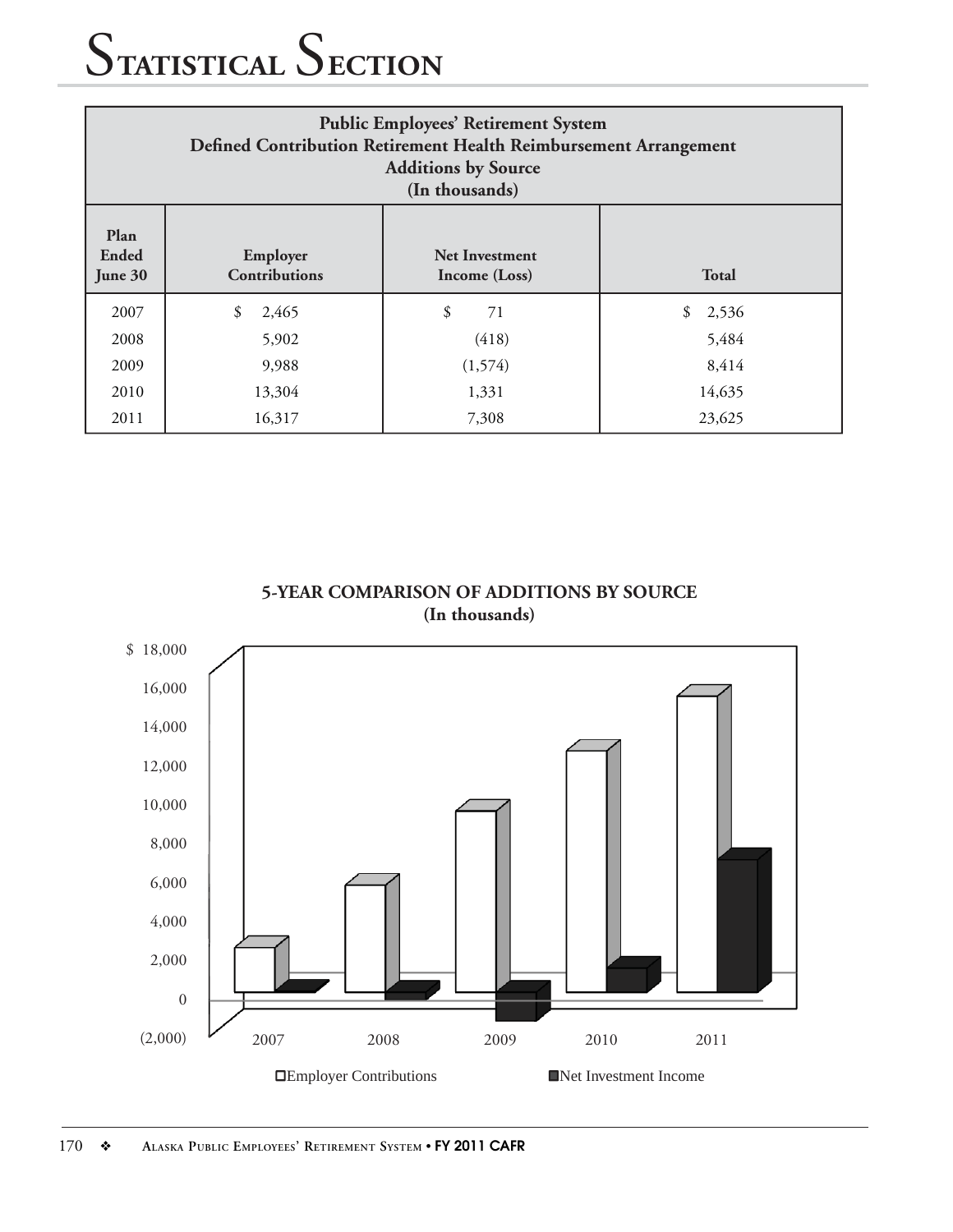| <b>Public Employees' Retirement System</b><br>Defined Contribution Retirement Health Reimbursement Arrangement<br><b>Additions by Source</b><br>(In thousands) |                                  |              |         |  |  |
|----------------------------------------------------------------------------------------------------------------------------------------------------------------|----------------------------------|--------------|---------|--|--|
| Plan<br>Ended<br>June 30                                                                                                                                       | Employer<br><b>Contributions</b> | <b>Total</b> |         |  |  |
| 2007                                                                                                                                                           | \$<br>2,465                      | \$<br>71     | \$2,536 |  |  |
| 2008                                                                                                                                                           | 5,902                            | (418)        | 5,484   |  |  |
| 2009                                                                                                                                                           | 9,988                            | (1,574)      | 8,414   |  |  |
| 2010                                                                                                                                                           | 13,304                           | 1,331        | 14,635  |  |  |
| 2011                                                                                                                                                           | 16,317                           | 7,308        | 23,625  |  |  |



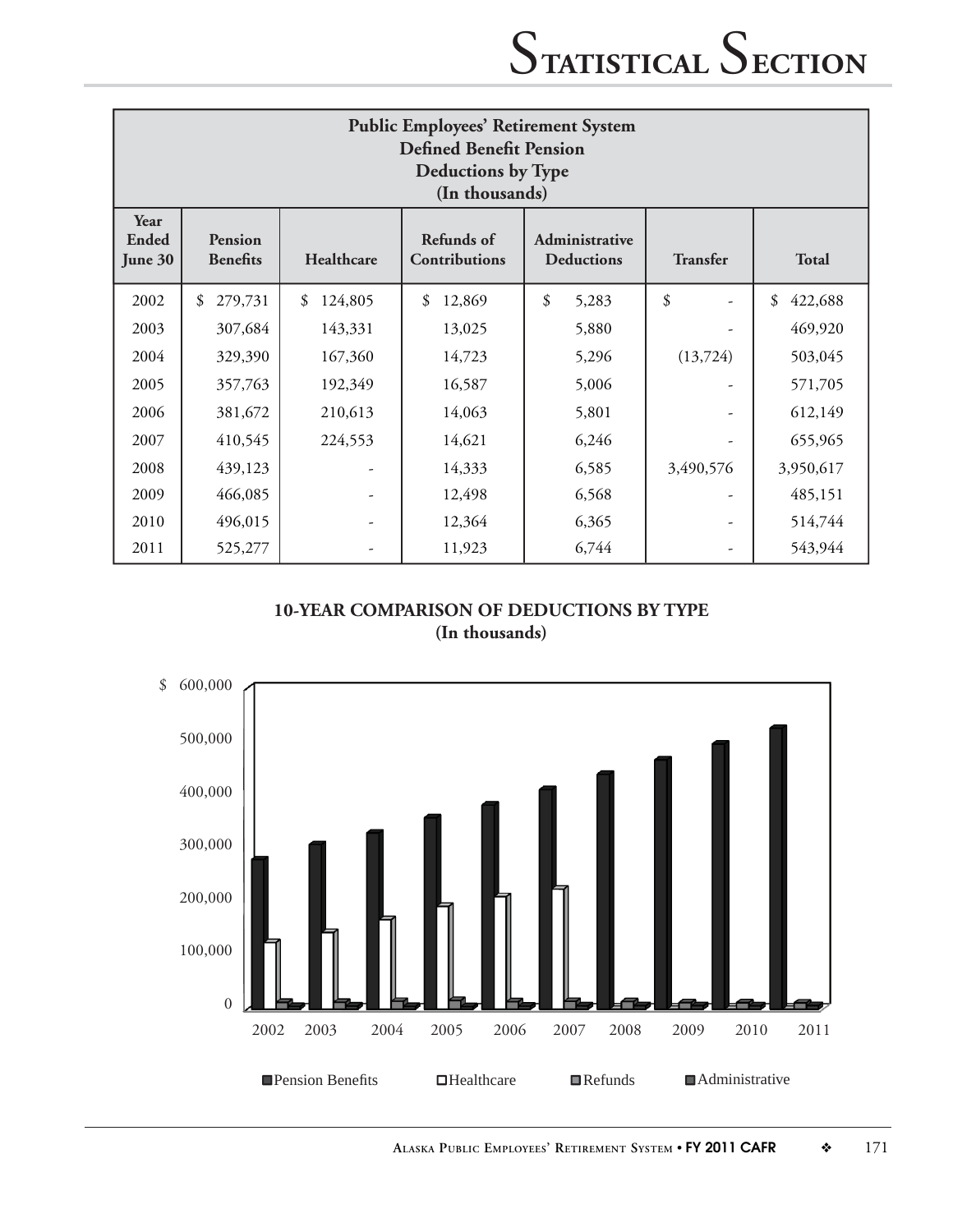| <b>Public Employees' Retirement System</b><br><b>Defined Benefit Pension</b><br><b>Deductions by Type</b><br>(In thousands) |                                   |               |                             |                                     |                 |               |  |  |
|-----------------------------------------------------------------------------------------------------------------------------|-----------------------------------|---------------|-----------------------------|-------------------------------------|-----------------|---------------|--|--|
| Year<br>Ended<br>June 30                                                                                                    | <b>Pension</b><br><b>Benefits</b> | Healthcare    | Refunds of<br>Contributions | Administrative<br><b>Deductions</b> | <b>Transfer</b> | <b>Total</b>  |  |  |
| 2002                                                                                                                        | 279,731<br>\$                     | 124,805<br>\$ | 12,869<br>\$                | \$<br>5,283                         | \$              | \$<br>422,688 |  |  |
| 2003                                                                                                                        | 307,684                           | 143,331       | 13,025                      | 5,880                               |                 | 469,920       |  |  |
| 2004                                                                                                                        | 329,390                           | 167,360       | 14,723                      | 5,296                               | (13,724)        | 503,045       |  |  |
| 2005                                                                                                                        | 357,763                           | 192,349       | 16,587                      | 5,006                               |                 | 571,705       |  |  |
| 2006                                                                                                                        | 381,672                           | 210,613       | 14,063                      | 5,801                               | ٠               | 612,149       |  |  |
| 2007                                                                                                                        | 410,545                           | 224,553       | 14,621                      | 6,246                               |                 | 655,965       |  |  |
| 2008                                                                                                                        | 439,123                           |               | 14,333                      | 6,585                               | 3,490,576       | 3,950,617     |  |  |
| 2009                                                                                                                        | 466,085                           |               | 12,498                      | 6,568                               |                 | 485,151       |  |  |
| 2010                                                                                                                        | 496,015                           |               | 12,364                      | 6,365                               |                 | 514,744       |  |  |
| 2011                                                                                                                        | 525,277                           |               | 11,923                      | 6,744                               |                 | 543,944       |  |  |

#### **10-YEAR COMPARISON OF DEDUCTIONS BY TYPE (In thousands)**

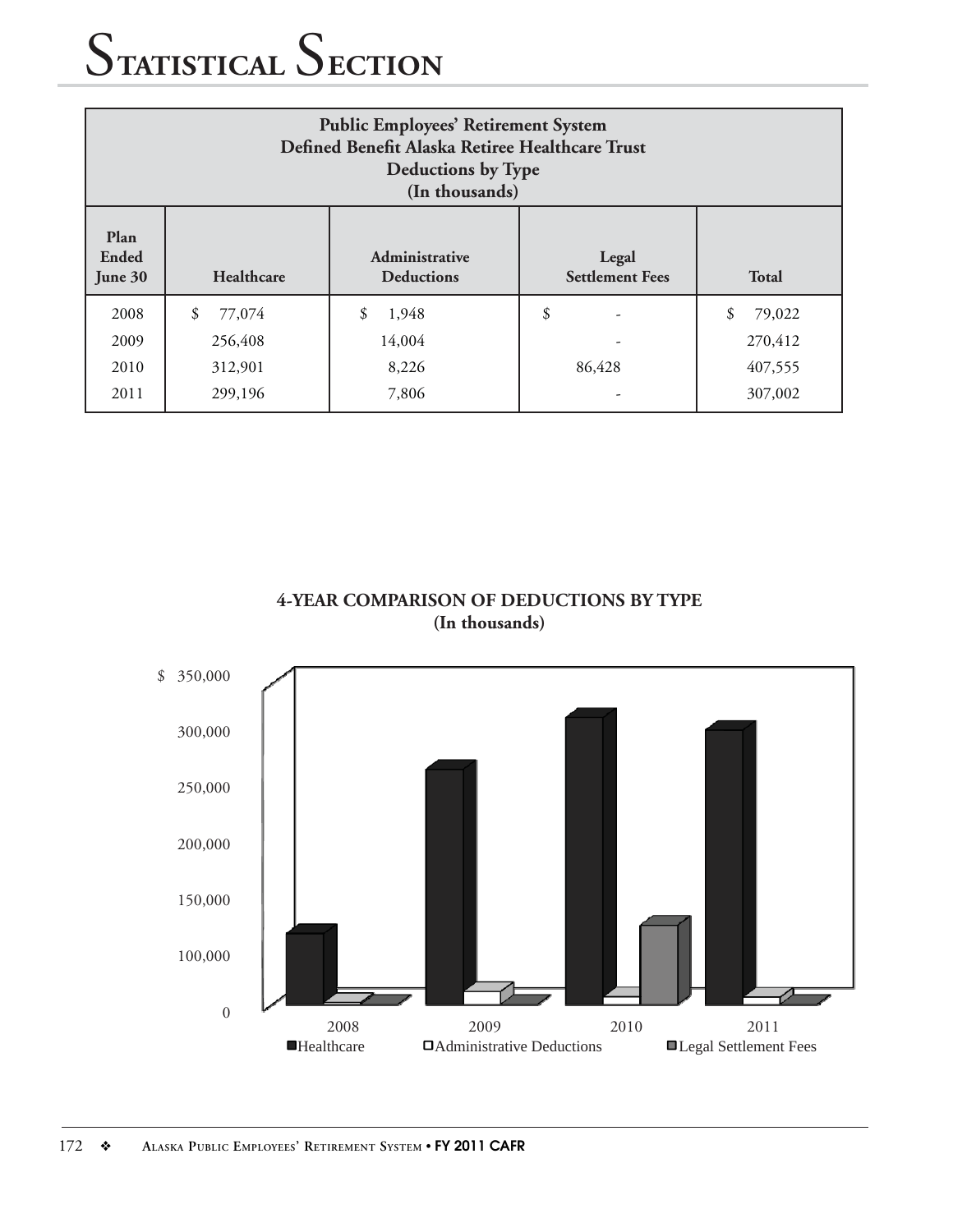| <b>Public Employees' Retirement System</b><br>Defined Benefit Alaska Retiree Healthcare Trust<br><b>Deductions by Type</b><br>(In thousands) |              |                                 |                   |              |  |  |
|----------------------------------------------------------------------------------------------------------------------------------------------|--------------|---------------------------------|-------------------|--------------|--|--|
| Plan<br>Ended<br>June 30                                                                                                                     | Healthcare   | Legal<br><b>Settlement Fees</b> | <b>Total</b>      |              |  |  |
| 2008                                                                                                                                         | \$<br>77,074 | \$<br>1,948                     | \$                | \$<br>79,022 |  |  |
| 2009                                                                                                                                         | 256,408      | 14,004                          |                   | 270,412      |  |  |
| 2010                                                                                                                                         | 312,901      | 8,226                           | 407,555<br>86,428 |              |  |  |
| 2011                                                                                                                                         | 299,196      | 7,806                           |                   | 307,002      |  |  |

**4-YEAR COMPARISON OF DEDUCTIONS BY TYPE (In thousands)**

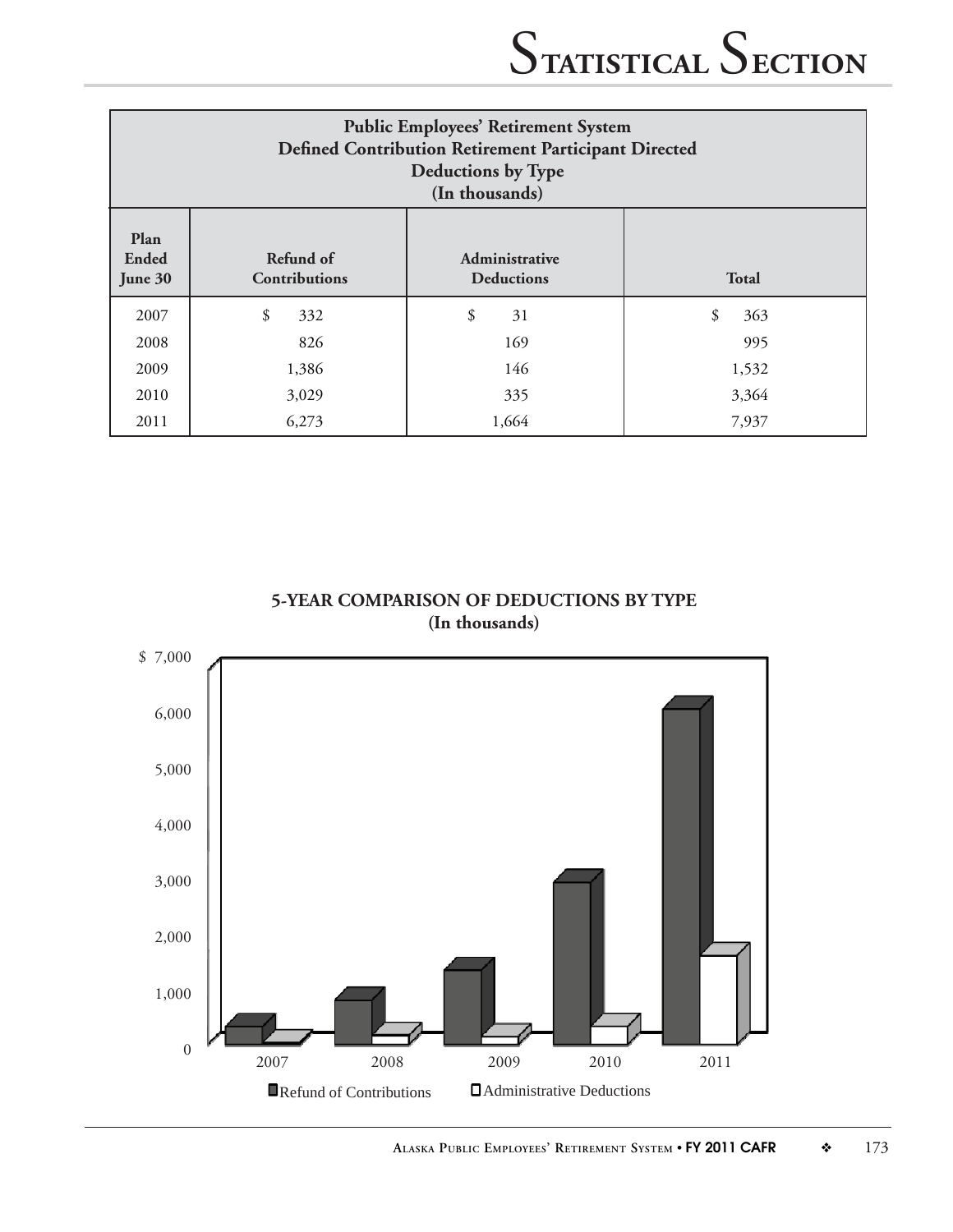| <b>Public Employees' Retirement System</b><br><b>Defined Contribution Retirement Participant Directed</b><br><b>Deductions by Type</b><br>(In thousands) |                                                                                   |          |           |  |  |  |
|----------------------------------------------------------------------------------------------------------------------------------------------------------|-----------------------------------------------------------------------------------|----------|-----------|--|--|--|
| Plan<br><b>Ended</b><br>June 30                                                                                                                          | Refund of<br>Administrative<br>Contributions<br><b>Total</b><br><b>Deductions</b> |          |           |  |  |  |
| 2007                                                                                                                                                     | \$<br>332                                                                         | \$<br>31 | \$<br>363 |  |  |  |
| 2008                                                                                                                                                     | 826                                                                               | 169      | 995       |  |  |  |
| 2009                                                                                                                                                     | 1,386                                                                             | 146      | 1,532     |  |  |  |
| 2010                                                                                                                                                     | 3,364<br>3,029<br>335                                                             |          |           |  |  |  |
| 2011                                                                                                                                                     | 6,273                                                                             | 1,664    | 7,937     |  |  |  |



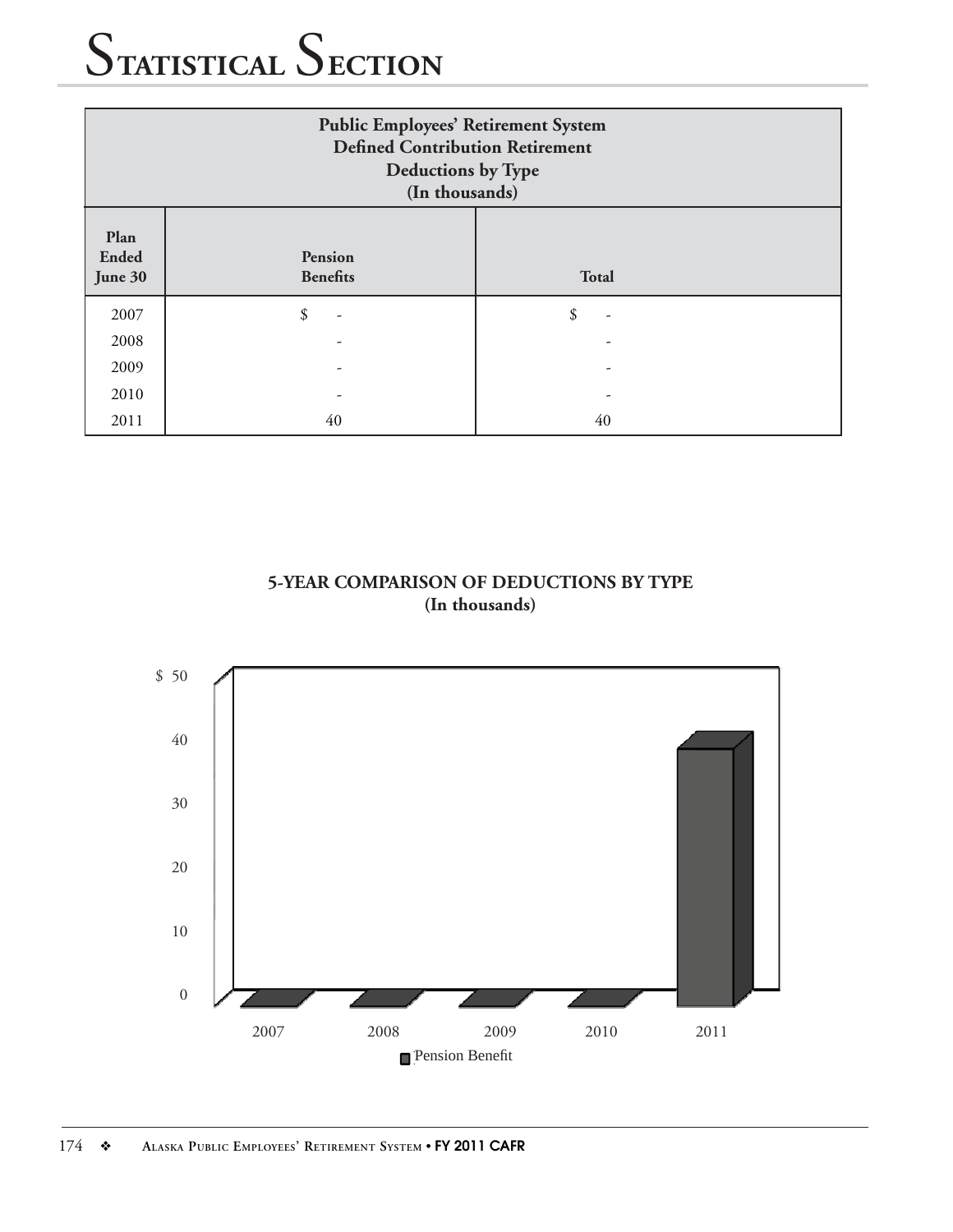| <b>Public Employees' Retirement System</b><br><b>Defined Contribution Retirement</b><br><b>Deductions by Type</b><br>(In thousands) |                            |              |  |  |  |  |
|-------------------------------------------------------------------------------------------------------------------------------------|----------------------------|--------------|--|--|--|--|
| Plan<br><b>Ended</b><br>June 30                                                                                                     | Pension<br><b>Benefits</b> | <b>Total</b> |  |  |  |  |
| 2007                                                                                                                                | \$                         | \$           |  |  |  |  |
| 2008                                                                                                                                |                            |              |  |  |  |  |
| 2009                                                                                                                                |                            |              |  |  |  |  |
| 2010                                                                                                                                |                            |              |  |  |  |  |
| 2011                                                                                                                                | 40                         | 40           |  |  |  |  |

### **5-YEAR COMPARISON OF DEDUCTIONS BY TYPE (In thousands)**

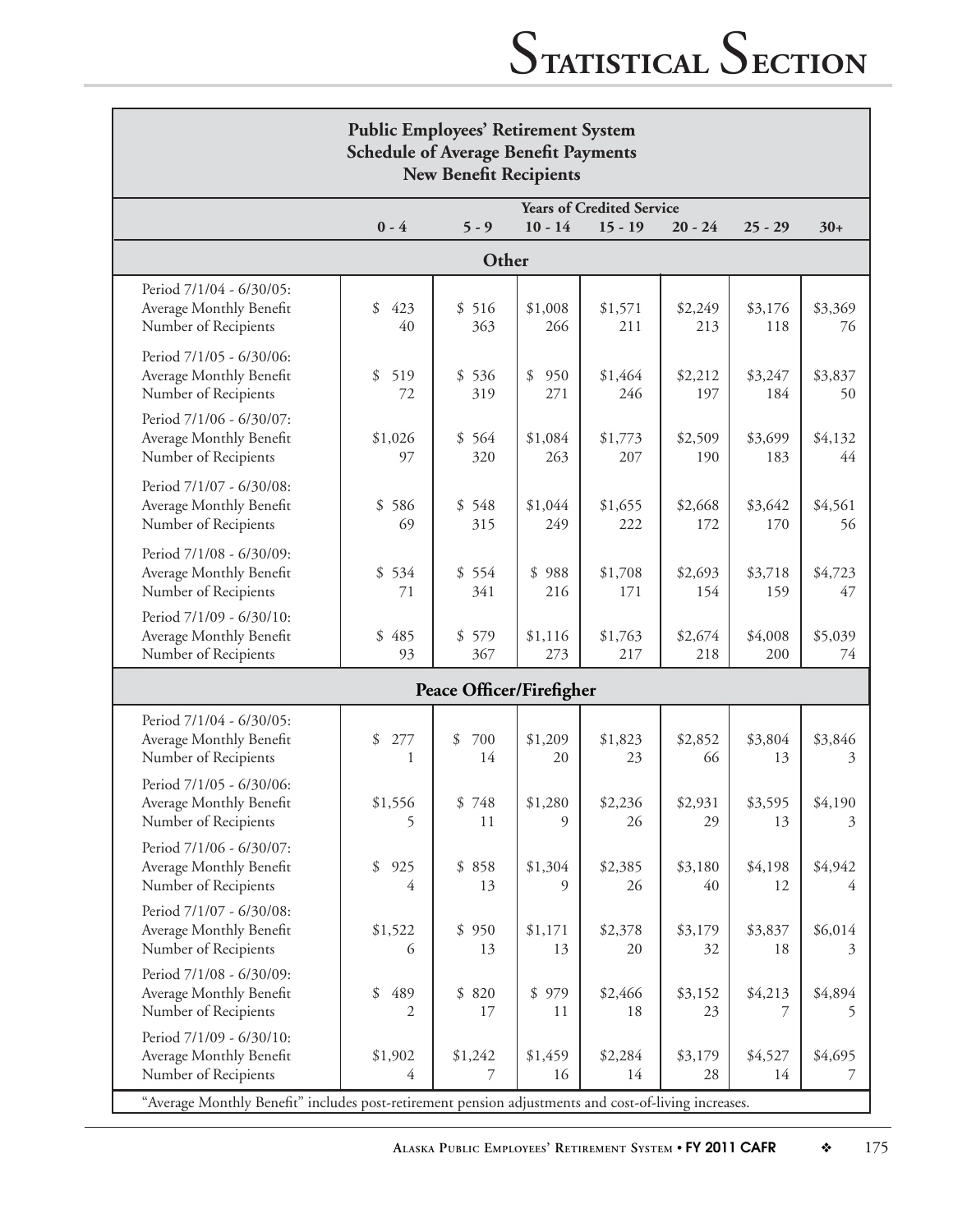| <b>Public Employees' Retirement System</b><br><b>Schedule of Average Benefit Payments</b><br><b>New Benefit Recipients</b>                                                          |                           |                          |                           |                                               |                |                |               |
|-------------------------------------------------------------------------------------------------------------------------------------------------------------------------------------|---------------------------|--------------------------|---------------------------|-----------------------------------------------|----------------|----------------|---------------|
|                                                                                                                                                                                     | $0 - 4$                   | $5 - 9$                  | $10 - 14$                 | <b>Years of Credited Service</b><br>$15 - 19$ | $20 - 24$      | $25 - 29$      | $30+$         |
|                                                                                                                                                                                     |                           | Other                    |                           |                                               |                |                |               |
| Period 7/1/04 - 6/30/05:<br>Average Monthly Benefit<br>Number of Recipients                                                                                                         | \$<br>423<br>40           | \$516<br>363             | \$1,008<br>266            | \$1,571<br>211                                | \$2,249<br>213 | \$3,176<br>118 | \$3,369<br>76 |
| Period 7/1/05 - 6/30/06:<br>Average Monthly Benefit<br>Number of Recipients                                                                                                         | \$<br>519<br>72           | \$536<br>319             | \$<br>950<br>271          | \$1,464<br>246                                | \$2,212<br>197 | \$3,247<br>184 | \$3,837<br>50 |
| Period 7/1/06 - 6/30/07:<br>Average Monthly Benefit<br>Number of Recipients                                                                                                         | \$1,026<br>97             | \$564<br>320             | \$1,084<br>263            | \$1,773<br>207                                | \$2,509<br>190 | \$3,699<br>183 | \$4,132<br>44 |
| Period 7/1/07 - 6/30/08:<br>Average Monthly Benefit<br>Number of Recipients                                                                                                         | \$<br>586<br>69           | \$548<br>315             | \$1,044<br>249            | \$1,655<br>222                                | \$2,668<br>172 | \$3,642<br>170 | \$4,561<br>56 |
| Period 7/1/08 - 6/30/09:<br>Average Monthly Benefit<br>Number of Recipients                                                                                                         | \$534<br>71               | \$554<br>341             | \$<br>988<br>216          | \$1,708<br>171                                | \$2,693<br>154 | \$3,718<br>159 | \$4,723<br>47 |
| Period 7/1/09 - 6/30/10:<br>Average Monthly Benefit<br>Number of Recipients                                                                                                         | \$485<br>93               | \$579<br>367             | \$1,116<br>273            | \$1,763<br>217                                | \$2,674<br>218 | \$4,008<br>200 | \$5,039<br>74 |
|                                                                                                                                                                                     |                           | Peace Officer/Firefigher |                           |                                               |                |                |               |
| Period 7/1/04 - 6/30/05:<br>Average Monthly Benefit<br>Number of Recipients                                                                                                         | \$<br>277<br>1            | \$<br>700<br>14          | \$1,209<br>20             | \$1,823<br>23                                 | \$2,852<br>66  | \$3,804<br>13  | \$3,846<br>3  |
| Period 7/1/05 - 6/30/06:<br>Average Monthly Benefit<br>Number of Recipients                                                                                                         | \$1,556<br>5              | \$748<br>11              | \$1,280<br>$\overline{Q}$ | \$2,236<br>26                                 | \$2,931<br>29  | \$3,595<br>13  | \$4,190<br>3  |
| Period 7/1/06 - 6/30/07:<br>Average Monthly Benefit<br>Number of Recipients                                                                                                         | \$<br>925<br>4            | \$858<br>13              | \$1,304<br>9              | \$2,385<br>26                                 | \$3,180<br>40  | \$4,198<br>12  | \$4,942<br>4  |
| Period 7/1/07 - 6/30/08:<br>Average Monthly Benefit<br>Number of Recipients                                                                                                         | \$1,522<br>6              | \$950<br>13              | \$1,171<br>13             | \$2,378<br>20                                 | \$3,179<br>32  | \$3,837<br>18  | \$6,014<br>3  |
| Period 7/1/08 - 6/30/09:<br>Average Monthly Benefit<br>Number of Recipients                                                                                                         | \$<br>489<br>2            | \$820<br>17              | \$979<br>11               | \$2,466<br>18                                 | \$3,152<br>23  | \$4,213<br>7   | \$4,894<br>5  |
| Period 7/1/09 - 6/30/10:<br>Average Monthly Benefit<br>Number of Recipients<br>"Average Monthly Benefit" includes post-retirement pension adjustments and cost-of-living increases. | \$1,902<br>$\overline{4}$ | \$1,242<br>7             | \$1,459<br>16             | \$2,284<br>14                                 | \$3,179<br>28  | \$4,527<br>14  | \$4,695<br>7  |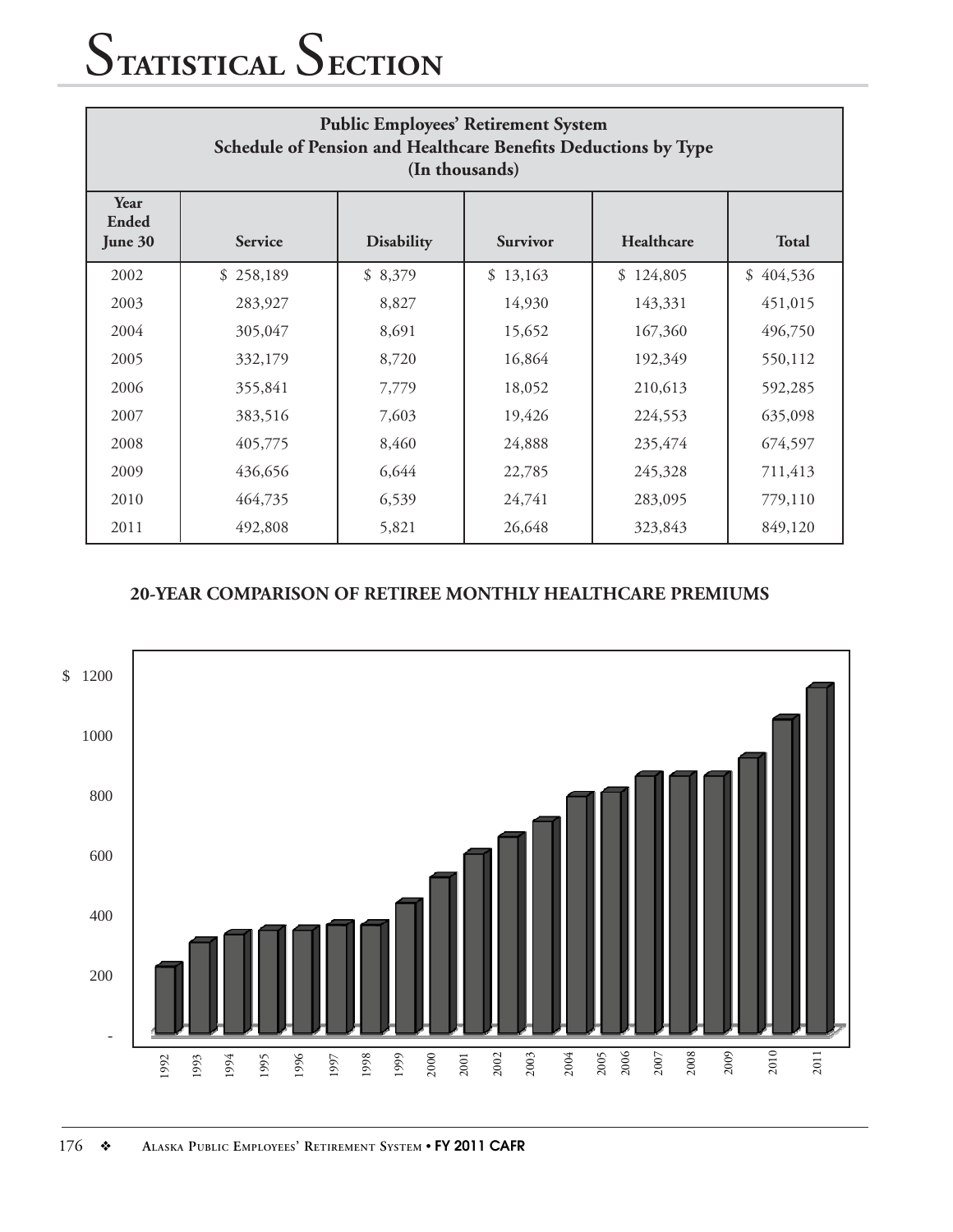| <b>Public Employees' Retirement System</b><br>Schedule of Pension and Healthcare Benefits Deductions by Type<br>(In thousands) |                |                   |                 |            |              |  |  |
|--------------------------------------------------------------------------------------------------------------------------------|----------------|-------------------|-----------------|------------|--------------|--|--|
| Year<br><b>Ended</b><br>June 30                                                                                                | <b>Service</b> | <b>Disability</b> | <b>Survivor</b> | Healthcare | <b>Total</b> |  |  |
| 2002                                                                                                                           | \$258,189      | \$8,379           | \$13,163        | \$124,805  | \$404,536    |  |  |
| 2003                                                                                                                           | 283,927        | 8,827             | 14,930          | 143,331    | 451,015      |  |  |
| 2004                                                                                                                           | 305,047        | 8,691             | 15,652          | 167,360    | 496,750      |  |  |
| 2005                                                                                                                           | 332,179        | 8,720             | 16,864          | 192,349    | 550,112      |  |  |
| 2006                                                                                                                           | 355,841        | 7,779             | 18,052          | 210,613    | 592,285      |  |  |
| 2007                                                                                                                           | 383,516        | 7,603             | 19,426          | 224,553    | 635,098      |  |  |
| 2008                                                                                                                           | 405,775        | 8,460             | 24,888          | 235,474    | 674,597      |  |  |
| 2009                                                                                                                           | 436,656        | 6,644             | 22,785          | 245,328    | 711,413      |  |  |
| 2010                                                                                                                           | 464,735        | 6,539             | 24,741          | 283,095    | 779,110      |  |  |
| 2011                                                                                                                           | 492,808        | 5,821             | 26,648          | 323,843    | 849,120      |  |  |

### **20-YEAR COMPARISON OF RETIREE MONTHLY HEALTHCARE PREMIUMS**

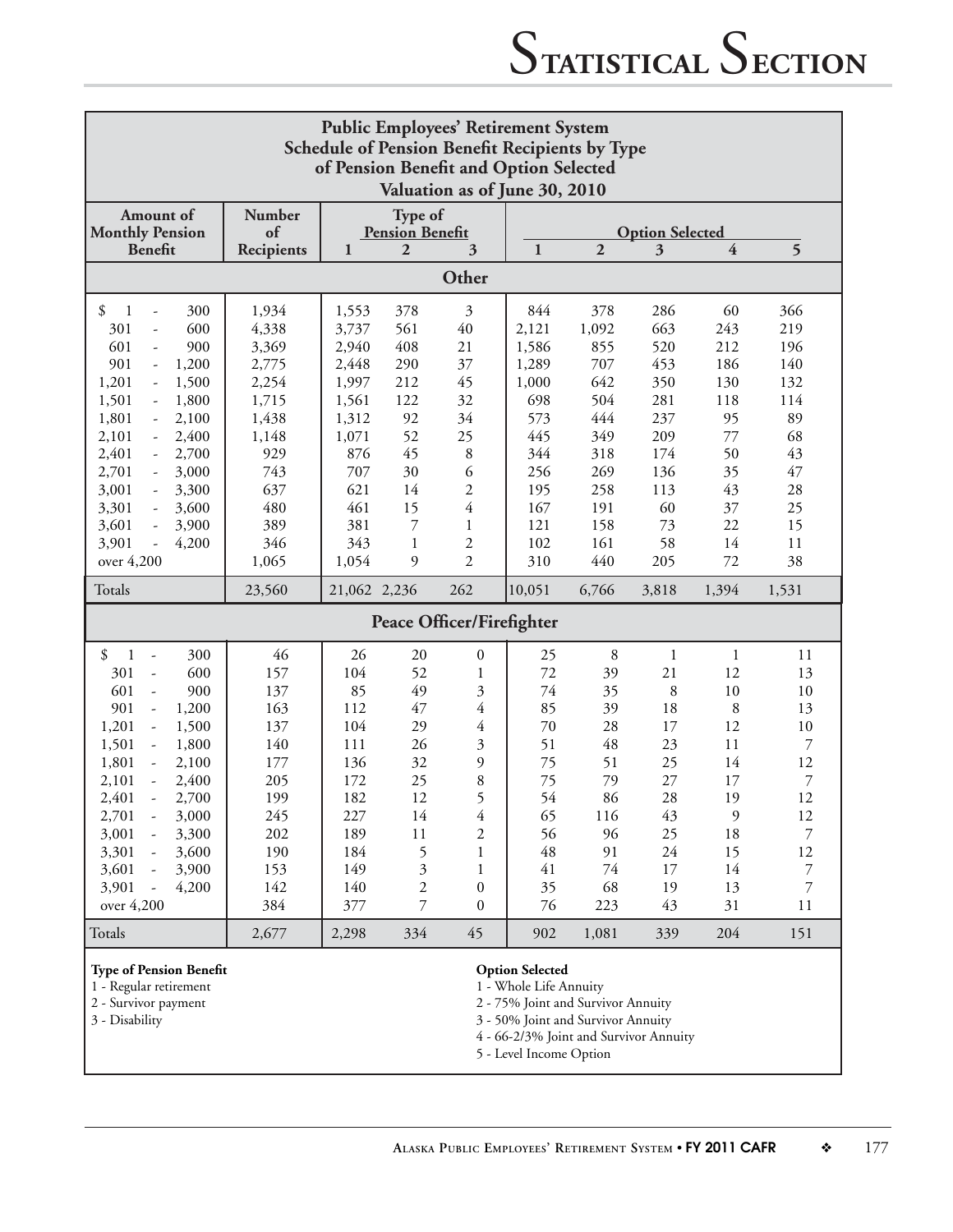| <b>Public Employees' Retirement System</b><br><b>Schedule of Pension Benefit Recipients by Type</b><br>of Pension Benefit and Option Selected<br>Valuation as of June 30, 2010 |                                                                                                                                                                                                   |                |                                   |                                  |                |                |                        |            |                      |
|--------------------------------------------------------------------------------------------------------------------------------------------------------------------------------|---------------------------------------------------------------------------------------------------------------------------------------------------------------------------------------------------|----------------|-----------------------------------|----------------------------------|----------------|----------------|------------------------|------------|----------------------|
| Amount of<br><b>Monthly Pension</b>                                                                                                                                            | Number<br>of                                                                                                                                                                                      |                | Type of<br><b>Pension Benefit</b> |                                  |                |                | <b>Option Selected</b> |            |                      |
| Benefit                                                                                                                                                                        | Recipients                                                                                                                                                                                        | 1              | 2                                 | 3                                | $\mathbf{1}$   | $\overline{2}$ | 3                      | 4          | 5                    |
|                                                                                                                                                                                |                                                                                                                                                                                                   |                |                                   | Other                            |                |                |                        |            |                      |
| \$<br>300<br>1<br>$\overline{a}$                                                                                                                                               | 1,934                                                                                                                                                                                             | 1,553          | 378                               | 3                                | 844            | 378            | 286                    | 60         | 366                  |
| 301<br>600<br>$\frac{1}{2}$                                                                                                                                                    | 4,338                                                                                                                                                                                             | 3,737          | 561                               | 40                               | 2,121          | 1,092          | 663                    | 243        | 219                  |
| 601<br>900<br>$\overline{\phantom{a}}$<br>901<br>1,200                                                                                                                         | 3,369                                                                                                                                                                                             | 2,940<br>2,448 | 408<br>290                        | 21<br>37                         | 1,586<br>1,289 | 855<br>707     | 520<br>453             | 212<br>186 | 196<br>140           |
| $\overline{\phantom{a}}$<br>1,201<br>1,500<br>$\overline{\phantom{a}}$                                                                                                         | 2,775<br>2,254                                                                                                                                                                                    | 1,997          | 212                               | 45                               | 1,000          | 642            | 350                    | 130        | 132                  |
| 1,501<br>1,800<br>$\overline{\phantom{a}}$                                                                                                                                     | 1,715                                                                                                                                                                                             | 1,561          | 122                               | 32                               | 698            | 504            | 281                    | 118        | 114                  |
| 1,801<br>2,100<br>$\overline{\phantom{a}}$                                                                                                                                     | 1,438                                                                                                                                                                                             | 1,312          | 92                                | 34                               | 573            | 444            | 237                    | 95         | 89                   |
| 2,400<br>2,101<br>$\overline{\phantom{a}}$                                                                                                                                     | 1,148                                                                                                                                                                                             | 1,071          | 52                                | 25                               | 445            | 349            | 209                    | 77         | 68                   |
| 2,401<br>2,700                                                                                                                                                                 | 929                                                                                                                                                                                               | 876            | 45                                | 8                                | 344            | 318            | 174                    | 50         | 43                   |
| 2,701<br>3,000                                                                                                                                                                 | 743                                                                                                                                                                                               | 707            | 30                                | 6                                | 256            | 269            | 136                    | 35         | 47                   |
| 3,001<br>3,300                                                                                                                                                                 | 637                                                                                                                                                                                               | 621            | 14                                | $\overline{c}$                   | 195            | 258            | 113                    | 43         | 28                   |
| 3,301<br>3,600<br>$\overline{\phantom{a}}$                                                                                                                                     | 480                                                                                                                                                                                               | 461            | 15                                | $\overline{4}$                   | 167            | 191            | 60                     | 37         | 25                   |
| 3,900<br>3,601<br>÷,                                                                                                                                                           | 389                                                                                                                                                                                               | 381            | 7                                 | $\mathbf{1}$                     | 121            | 158            | 73                     | 22         | 15                   |
| 3,901<br>4,200<br>$\frac{1}{2}$                                                                                                                                                | 346                                                                                                                                                                                               | 343            | 1                                 | $\overline{\mathbf{c}}$          | 102            | 161            | 58                     | 14         | 11                   |
| over 4,200                                                                                                                                                                     | 1,065                                                                                                                                                                                             | 1,054          | 9                                 | $\overline{2}$                   | 310            | 440            | 205                    | 72         | 38                   |
| Totals                                                                                                                                                                         | 23,560                                                                                                                                                                                            | 21,062 2,236   |                                   | 262                              | 10,051         | 6,766          | 3,818                  | 1,394      | 1,531                |
|                                                                                                                                                                                |                                                                                                                                                                                                   |                |                                   | <b>Peace Officer/Firefighter</b> |                |                |                        |            |                      |
| \$<br>300<br>1<br>$\overline{\phantom{a}}$                                                                                                                                     | 46                                                                                                                                                                                                | 26             | 20                                | $\boldsymbol{0}$                 | 25             | 8              | 1                      | 1          | 11                   |
| 600<br>301<br>$\frac{1}{2}$                                                                                                                                                    | 157                                                                                                                                                                                               | 104            | 52                                | 1                                | 72             | 39             | 21                     | 12         | 13                   |
| 601<br>900<br>$\frac{1}{2}$                                                                                                                                                    | 137                                                                                                                                                                                               | 85             | 49                                | 3                                | 74             | 35             | 8                      | 10         | 10                   |
| 901<br>1,200<br>$\overline{\phantom{a}}$                                                                                                                                       | 163                                                                                                                                                                                               | 112            | 47                                | 4                                | 85             | 39             | 18                     | 8          | 13                   |
| 1,201<br>1,500<br>$\overline{\phantom{a}}$                                                                                                                                     | 137                                                                                                                                                                                               | 104            | 29                                | 4                                | 70             | 28             | 17                     | 12         | 10                   |
| 1,501<br>1,800<br>$\frac{1}{2}$                                                                                                                                                | 140                                                                                                                                                                                               | 111            | 26                                | 3                                | 51             | 48             | 23                     | 11         | 7                    |
| 1,801<br>2,100<br>$\overline{a}$                                                                                                                                               | 177                                                                                                                                                                                               | 136            | 32                                | 9                                | 75             | 51             | 25<br>27               | 14         | 12                   |
| 2,400<br>2,101<br>2,401<br>2,700                                                                                                                                               | 205<br>199                                                                                                                                                                                        | 172<br>182     | 25<br>12                          | 8<br>5                           | 75<br>54       | 79<br>86       | 28                     | 17<br>19   | $\overline{7}$<br>12 |
| 3,000<br>2,701                                                                                                                                                                 | 245                                                                                                                                                                                               | 227            | 14                                | $\overline{4}$                   | 65             | 116            | 43                     | 9          | 12                   |
| 3,300<br>3,001                                                                                                                                                                 | 202                                                                                                                                                                                               | 189            | 11                                | 2                                | 56             | 96             | 25                     | 18         | 7                    |
| 3,301<br>3,600                                                                                                                                                                 | 190                                                                                                                                                                                               | 184            | 5                                 | 1                                | 48             | 91             | 24                     | 15         | 12                   |
| 3,601<br>3,900                                                                                                                                                                 | 153                                                                                                                                                                                               | 149            | 3                                 | 1                                | 41             | 74             | 17                     | 14         | 7                    |
| 3,901<br>4,200                                                                                                                                                                 | 142                                                                                                                                                                                               | 140            | $\overline{2}$                    | 0                                | 35             | 68             | 19                     | 13         | 7                    |
| over 4,200                                                                                                                                                                     | 384                                                                                                                                                                                               | 377            | 7                                 | $\boldsymbol{0}$                 | 76             | 223            | 43                     | 31         | 11                   |
| Totals                                                                                                                                                                         | 2,677                                                                                                                                                                                             | 2,298          | 334                               | 45                               | 902            | 1,081          | 339                    | 204        | 151                  |
| <b>Type of Pension Benefit</b><br>1 - Regular retirement<br>2 - Survivor payment<br>3 - Disability                                                                             | <b>Option Selected</b><br>1 - Whole Life Annuity<br>2 - 75% Joint and Survivor Annuity<br>3 - 50% Joint and Survivor Annuity<br>4 - 66-2/3% Joint and Survivor Annuity<br>5 - Level Income Option |                |                                   |                                  |                |                |                        |            |                      |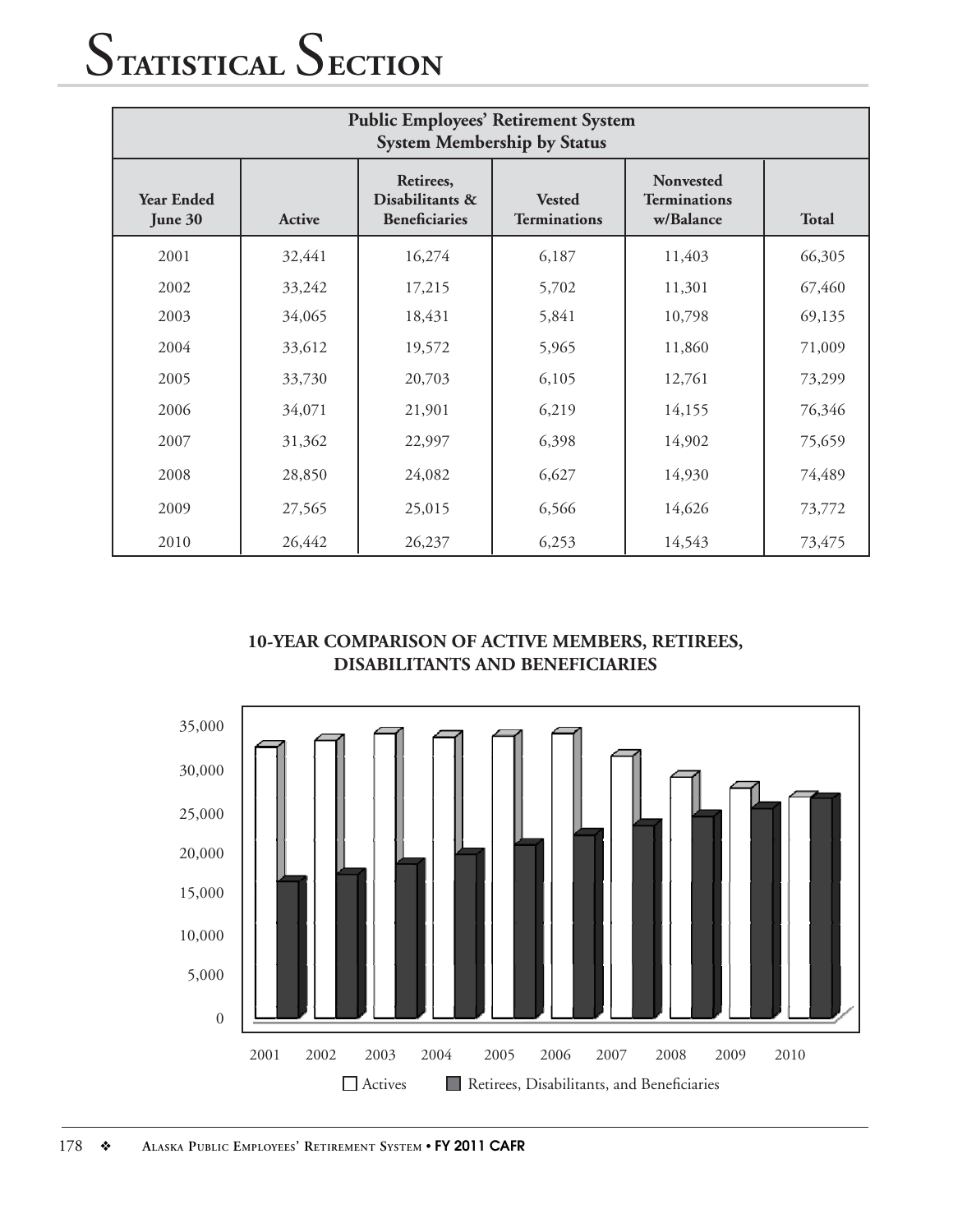| <b>Public Employees' Retirement System</b><br><b>System Membership by Status</b> |        |                                                      |                                      |                                                      |              |  |  |  |
|----------------------------------------------------------------------------------|--------|------------------------------------------------------|--------------------------------------|------------------------------------------------------|--------------|--|--|--|
| <b>Year Ended</b><br>June 30                                                     | Active | Retirees,<br>Disabilitants &<br><b>Beneficiaries</b> | <b>Vested</b><br><b>Terminations</b> | <b>Nonvested</b><br><b>Terminations</b><br>w/Balance | <b>Total</b> |  |  |  |
| 2001                                                                             | 32,441 | 16,274                                               | 6,187                                | 11,403                                               | 66,305       |  |  |  |
| 2002                                                                             | 33,242 | 17,215                                               | 5,702                                | 11,301                                               | 67,460       |  |  |  |
| 2003                                                                             | 34,065 | 18,431                                               | 5,841                                | 10,798                                               | 69,135       |  |  |  |
| 2004                                                                             | 33,612 | 19,572                                               | 5,965                                | 11,860                                               | 71,009       |  |  |  |
| 2005                                                                             | 33,730 | 20,703                                               | 6,105                                | 12,761                                               | 73,299       |  |  |  |
| 2006                                                                             | 34,071 | 21,901                                               | 6,219                                | 14,155                                               | 76,346       |  |  |  |
| 2007                                                                             | 31,362 | 22,997                                               | 6,398                                | 14,902                                               | 75,659       |  |  |  |
| 2008                                                                             | 28,850 | 24,082                                               | 6,627                                | 14,930                                               | 74,489       |  |  |  |
| 2009                                                                             | 27,565 | 25,015                                               | 6,566                                | 14,626                                               | 73,772       |  |  |  |
| 2010                                                                             | 26,442 | 26,237                                               | 6,253                                | 14,543                                               | 73,475       |  |  |  |



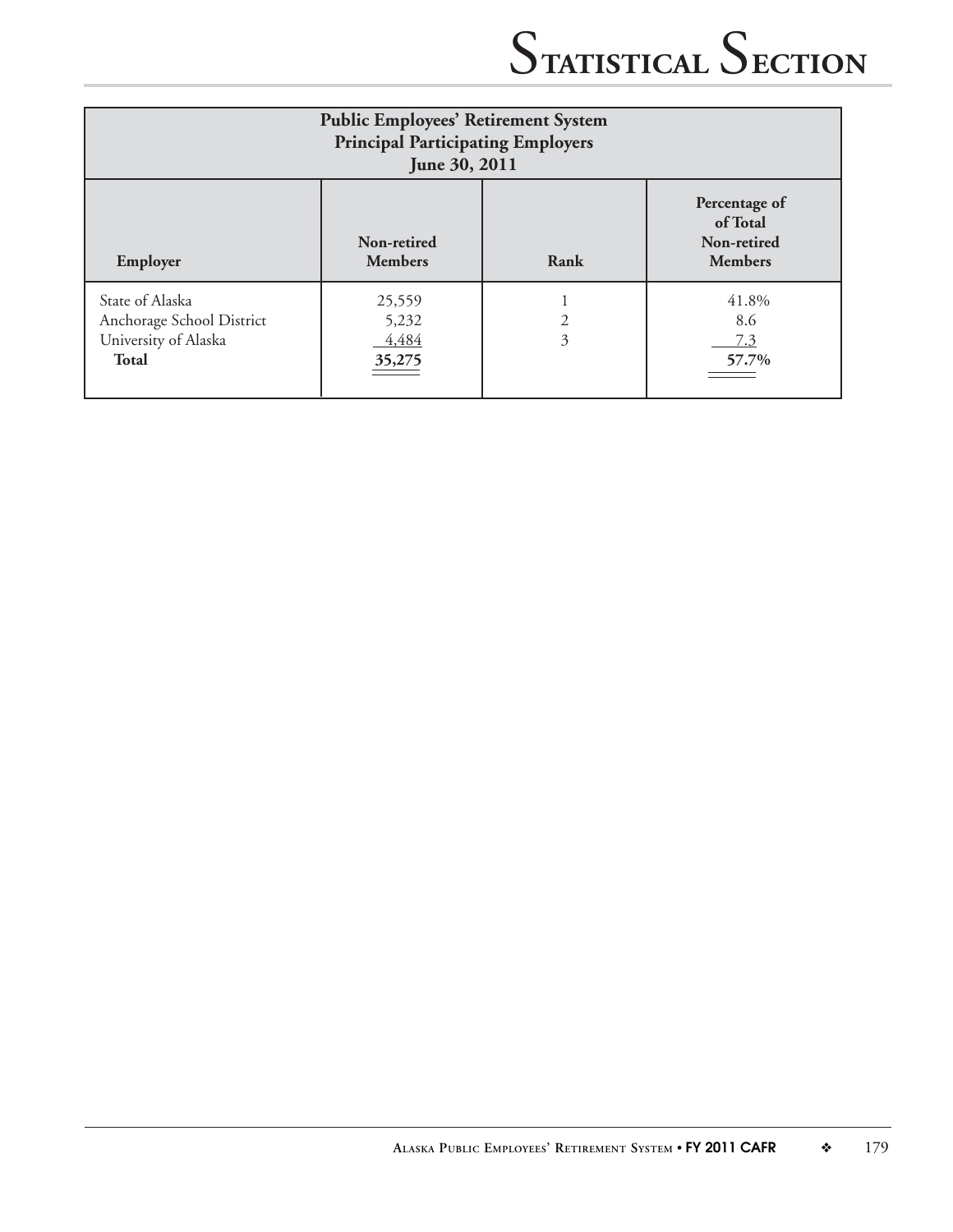| <b>Public Employees' Retirement System</b><br><b>Principal Participating Employers</b><br>June 30, 2011 |                                    |        |                                                            |  |  |
|---------------------------------------------------------------------------------------------------------|------------------------------------|--------|------------------------------------------------------------|--|--|
| Employer                                                                                                | Non-retired<br><b>Members</b>      | Rank   | Percentage of<br>of Total<br>Non-retired<br><b>Members</b> |  |  |
| State of Alaska<br>Anchorage School District<br>University of Alaska<br><b>Total</b>                    | 25,559<br>5,232<br>4,484<br>35,275 | 2<br>3 | 41.8%<br>8.6<br>7.3<br>57.7%                               |  |  |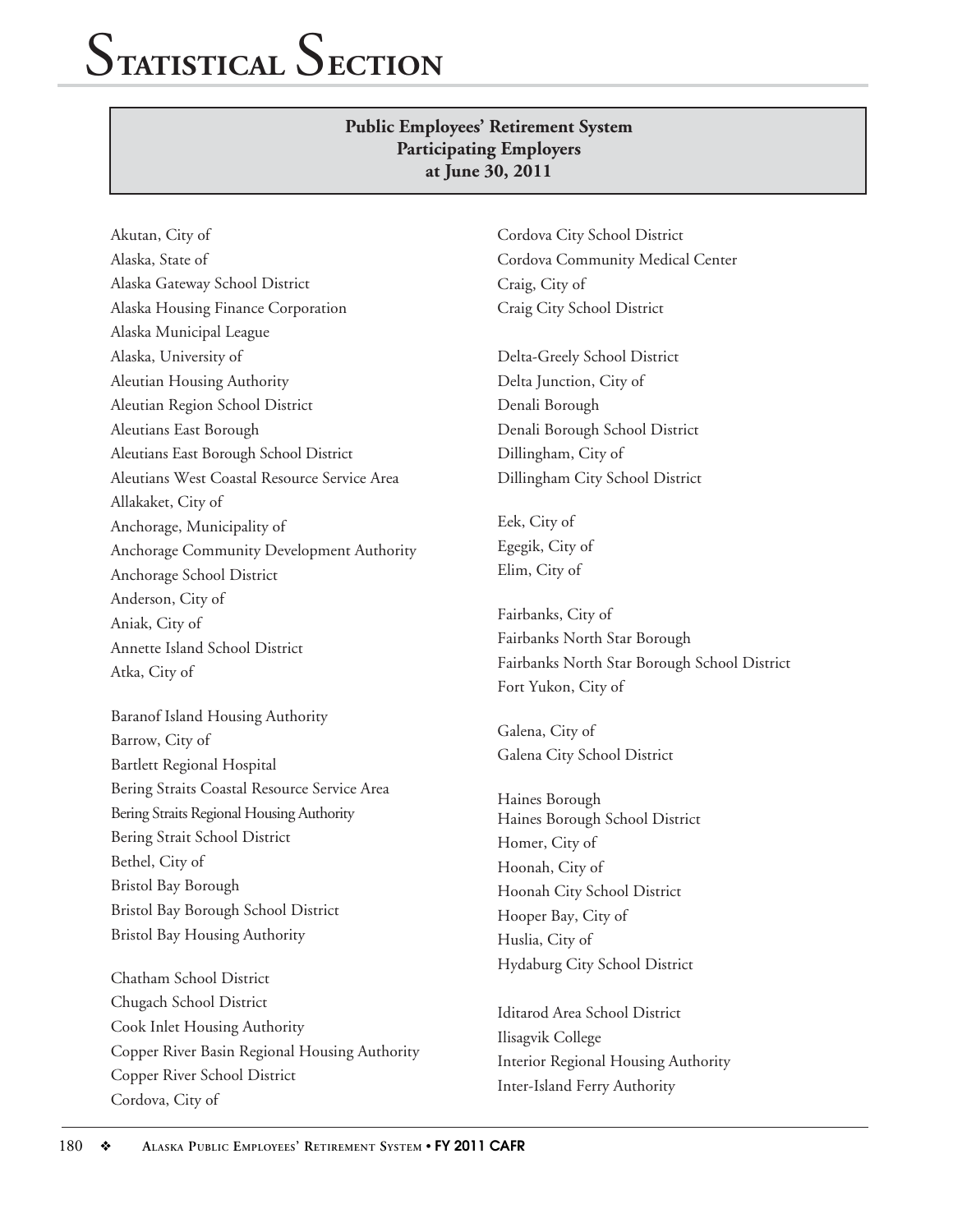#### **Public Employees' Retirement System Participating Employers at June 30, 2011**

Akutan, City of Alaska, State of Alaska Gateway School District Alaska Housing Finance Corporation Alaska Municipal League Alaska, University of Aleutian Housing Authority Aleutian Region School District Aleutians East Borough Aleutians East Borough School District Aleutians West Coastal Resource Service Area Allakaket, City of Anchorage, Municipality of Anchorage Community Development Authority Anchorage School District Anderson, City of Aniak, City of Annette Island School District Atka, City of

Baranof Island Housing Authority Barrow, City of Bartlett Regional Hospital Bering Straits Coastal Resource Service Area Bering Straits Regional Housing Authority Bering Strait School District Bethel, City of Bristol Bay Borough Bristol Bay Borough School District Bristol Bay Housing Authority

Chatham School District Chugach School District Cook Inlet Housing Authority Copper River Basin Regional Housing Authority Copper River School District Cordova, City of

Cordova City School District Cordova Community Medical Center Craig, City of Craig City School District

Delta-Greely School District Delta Junction, City of Denali Borough Denali Borough School District Dillingham, City of Dillingham City School District

Eek, City of Egegik, City of Elim, City of

Fairbanks, City of Fairbanks North Star Borough Fairbanks North Star Borough School District Fort Yukon, City of

Galena, City of Galena City School District

Haines Borough Haines Borough School District Homer, City of Hoonah, City of Hoonah City School District Hooper Bay, City of Huslia, City of Hydaburg City School District

Iditarod Area School District Ilisagvik College Interior Regional Housing Authority Inter-Island Ferry Authority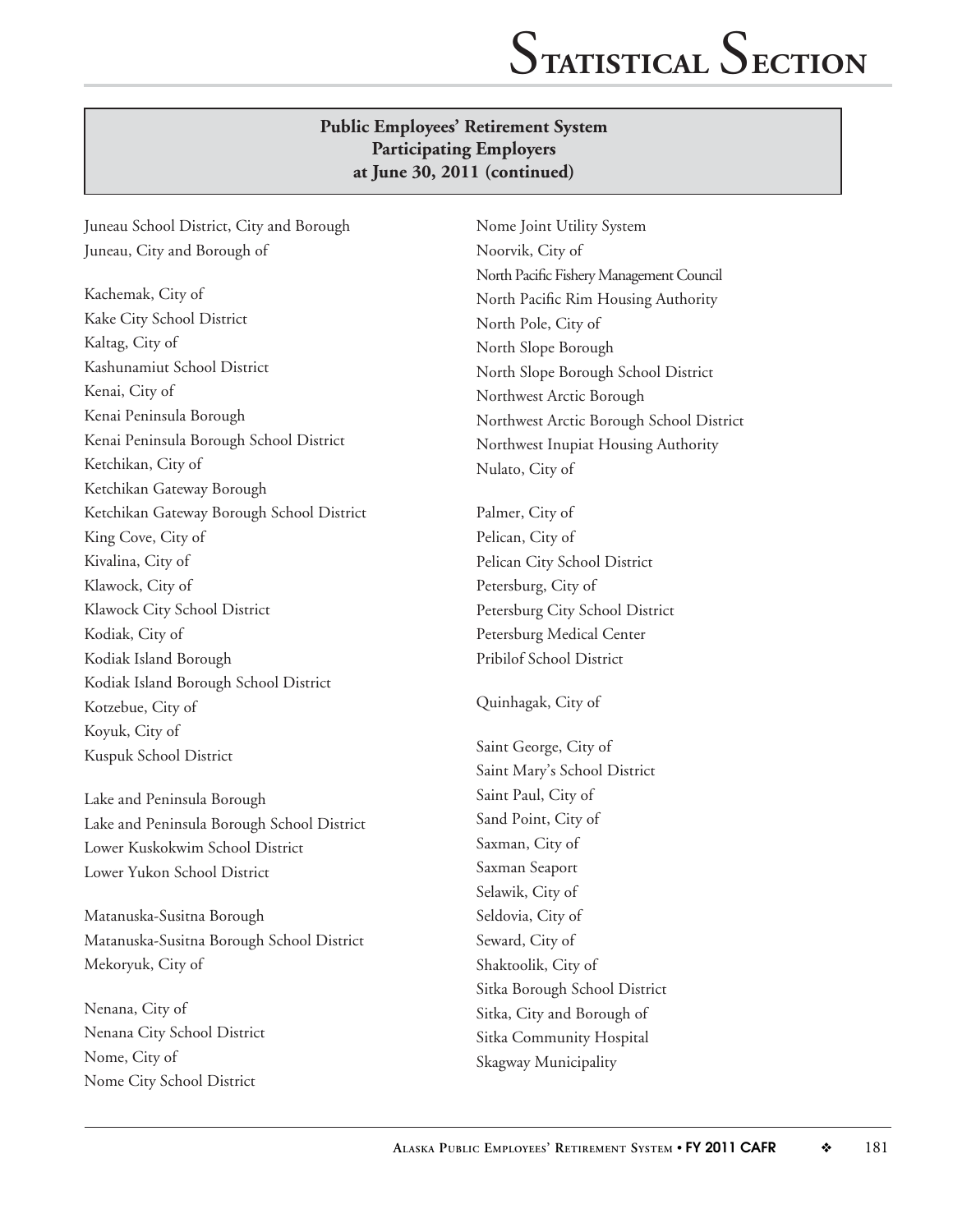#### **Public Employees' Retirement System Participating Employers at June 30, 2011 (continued)**

Juneau School District, City and Borough Juneau, City and Borough of

Kachemak, City of Kake City School District Kaltag, City of Kashunamiut School District Kenai, City of Kenai Peninsula Borough Kenai Peninsula Borough School District Ketchikan, City of Ketchikan Gateway Borough Ketchikan Gateway Borough School District King Cove, City of Kivalina, City of Klawock, City of Klawock City School District Kodiak, City of Kodiak Island Borough Kodiak Island Borough School District Kotzebue, City of Koyuk, City of Kuspuk School District

Lake and Peninsula Borough Lake and Peninsula Borough School District Lower Kuskokwim School District Lower Yukon School District

Matanuska-Susitna Borough Matanuska-Susitna Borough School District Mekoryuk, City of

Nenana, City of Nenana City School District Nome, City of Nome City School District

Nome Joint Utility System Noorvik, City of North Pacific Fishery Management Council North Pacific Rim Housing Authority North Pole, City of North Slope Borough North Slope Borough School District Northwest Arctic Borough Northwest Arctic Borough School District Northwest Inupiat Housing Authority Nulato, City of

Palmer, City of Pelican, City of Pelican City School District Petersburg, City of Petersburg City School District Petersburg Medical Center Pribilof School District

Quinhagak, City of

Saint George, City of Saint Mary's School District Saint Paul, City of Sand Point, City of Saxman, City of Saxman Seaport Selawik, City of Seldovia, City of Seward, City of Shaktoolik, City of Sitka Borough School District Sitka, City and Borough of Sitka Community Hospital Skagway Municipality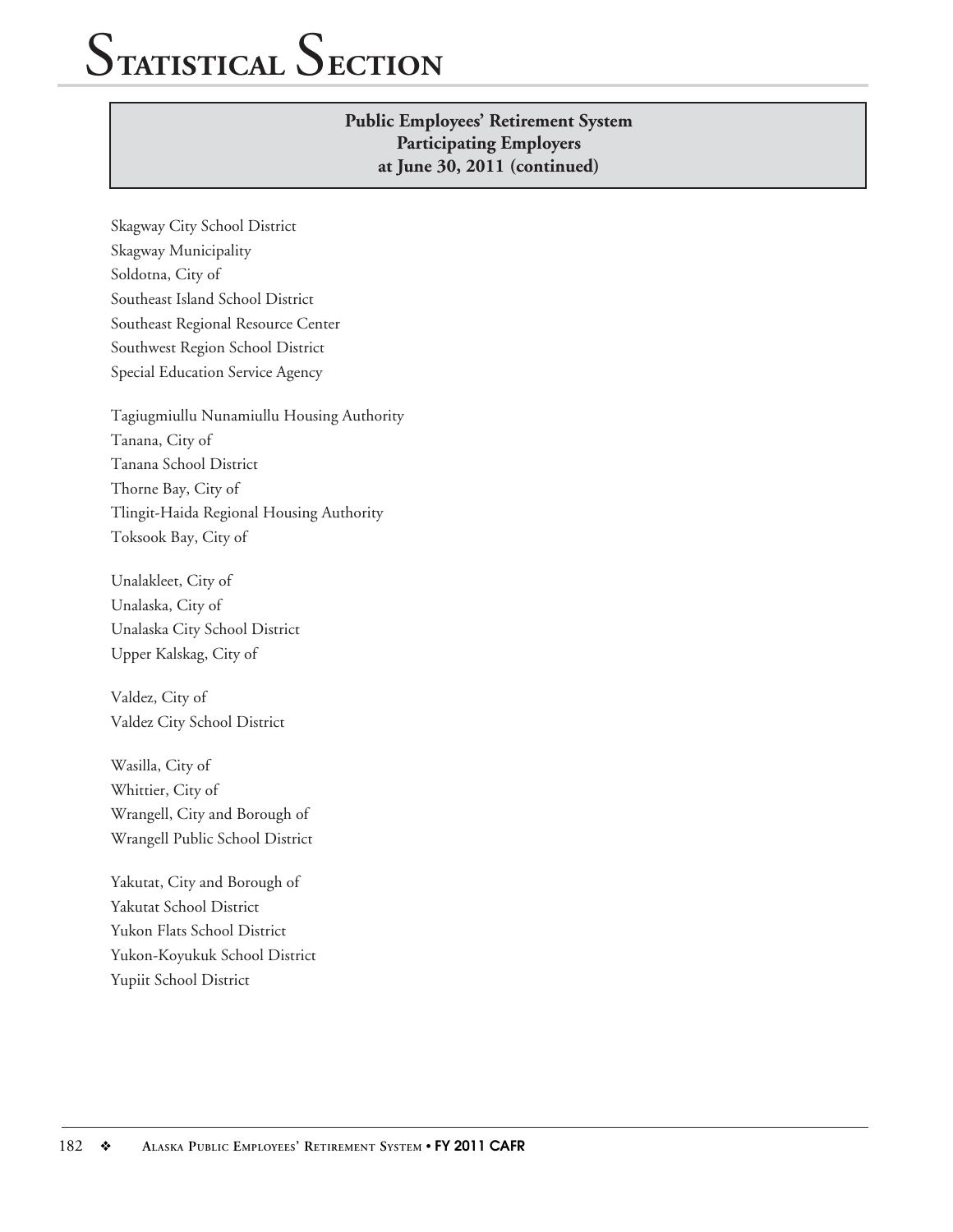#### **Public Employees' Retirement System Participating Employers at June 30, 2011 (continued)**

Skagway City School District Skagway Municipality Soldotna, City of Southeast Island School District Southeast Regional Resource Center Southwest Region School District Special Education Service Agency

Tagiugmiullu Nunamiullu Housing Authority Tanana, City of Tanana School District Thorne Bay, City of Tlingit-Haida Regional Housing Authority Toksook Bay, City of

Unalakleet, City of Unalaska, City of Unalaska City School District Upper Kalskag, City of

Valdez, City of Valdez City School District

Wasilla, City of Whittier, City of Wrangell, City and Borough of Wrangell Public School District

Yakutat, City and Borough of Yakutat School District Yukon Flats School District Yukon-Koyukuk School District Yupiit School District